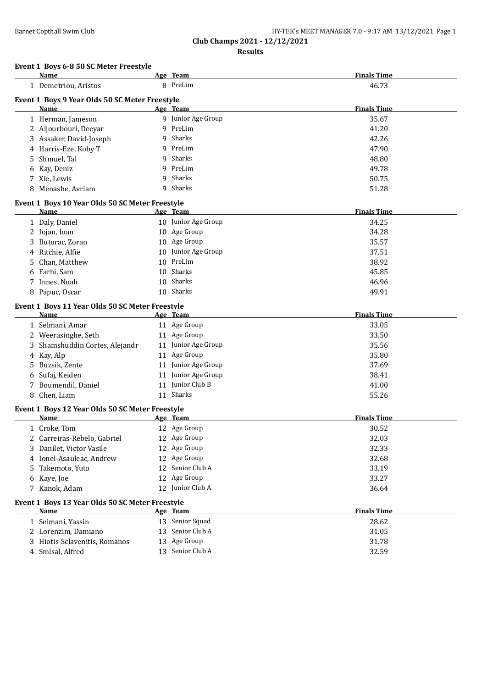**Club Champs 2021 - 12/12/2021**

**Results**

## **Event 1 Boys 6-8 50 SC Meter Freestyle**

|   | <u>Name</u>                                     |    | Age Team            | <b>Finals Time</b> |
|---|-------------------------------------------------|----|---------------------|--------------------|
|   | 1 Demetriou, Aristos                            |    | 8 PreLim            | 46.73              |
|   | Event 1 Boys 9 Year Olds 50 SC Meter Freestyle  |    |                     |                    |
|   | Name                                            |    | Age Team            | <b>Finals Time</b> |
|   | 1 Herman, Jameson                               |    | 9 Junior Age Group  | 35.67              |
|   | 2 Aljourbouri, Deeyar                           | q  | PreLim              | 41.20              |
|   | 3 Assaker, David-Joseph                         | 9  | Sharks              | 42.26              |
|   | 4 Harris-Eze, Koby T                            | 9  | PreLim              | 47.90              |
| 5 | Shmuel, Tal                                     | 9  | Sharks              | 48.80              |
|   | 6 Kay, Deniz                                    | 9  | PreLim              | 49.78              |
|   | 7 Xie, Lewis                                    | 9  | Sharks              | 50.75              |
|   | 8 Menashe, Avriam                               | 9  | Sharks              | 51.28              |
|   | Event 1 Boys 10 Year Olds 50 SC Meter Freestyle |    |                     |                    |
|   | Name                                            |    | Age Team            | <b>Finals Time</b> |
|   | 1 Daly, Daniel                                  |    | 10 Junior Age Group | 34.25              |
|   | 2 Iojan, Ioan                                   |    | 10 Age Group        | 34.28              |
|   | Butorac, Zoran                                  |    | 10 Age Group        | 35.57              |
|   | 4 Ritchie, Alfie                                | 10 | Junior Age Group    | 37.51              |
| 5 | Chan, Matthew                                   | 10 | PreLim              | 38.92              |
| 6 | Farhi, Sam                                      | 10 | Sharks              | 45.85              |
|   | 7 Innes, Noah                                   | 10 | Sharks              | 46.96              |
|   | 8 Papuc, Oscar                                  |    | 10 Sharks           | 49.91              |
|   | Event 1 Boys 11 Year Olds 50 SC Meter Freestyle |    |                     |                    |
|   | Name                                            |    | Age Team            | <b>Finals Time</b> |
|   | 1 Selmani, Amar                                 |    | 11 Age Group        | 33.05              |
|   | 2 Weerasinghe, Seth                             |    | 11 Age Group        | 33.50              |
|   | Shamshuddin Cortes, Alejandr                    |    | 11 Junior Age Group | 35.56              |
|   | 4 Kay, Alp                                      |    | 11 Age Group        | 35.80              |
| 5 | Buzsik, Zente                                   |    | 11 Junior Age Group | 37.69              |
| 6 | Sufaj, Keiden                                   |    | 11 Junior Age Group | 38.41              |
|   | 7 Boumendil, Daniel                             |    | 11 Junior Club B    | 41.00              |
|   | 8 Chen, Liam                                    |    | 11 Sharks           | 55.26              |
|   | Event 1 Boys 12 Year Olds 50 SC Meter Freestyle |    |                     |                    |
|   | Name                                            |    | Age Team            | <b>Finals Time</b> |
|   | 1 Croke, Tom                                    |    | 12 Age Group        | 30.52              |
|   | 2 Carreiras-Rebelo, Gabriel                     |    | 12 Age Group        | 32.03              |
|   | 3 Danilet, Victor Vasile                        |    | 12 Age Group        | 32.33              |
|   | 4 Ionel-Asauleac, Andrew                        |    | 12 Age Group        | 32.68              |
|   | 5 Takemoto, Yuto                                |    | 12 Senior Club A    | 33.19              |
|   | 6 Kaye, Joe                                     |    | 12 Age Group        | 33.27              |
|   | 7 Kanok, Adam                                   |    | 12 Junior Club A    | 36.64              |
|   | Event 1 Boys 13 Year Olds 50 SC Meter Freestyle |    |                     |                    |
|   | <b>Name</b>                                     |    | Age Team            | <b>Finals Time</b> |
|   | 1 Selmani, Yassin                               |    | 13 Senior Squad     | 28.62              |
|   | 2 Lorenzim, Damiano                             | 13 | Senior Club A       | 31.05              |
|   | 3 Hiotis-Sclavenitis, Romanos                   |    | 13 Age Group        | 31.78              |
|   | 4 Smlsal, Alfred                                |    | 13 Senior Club A    | 32.59              |
|   |                                                 |    |                     |                    |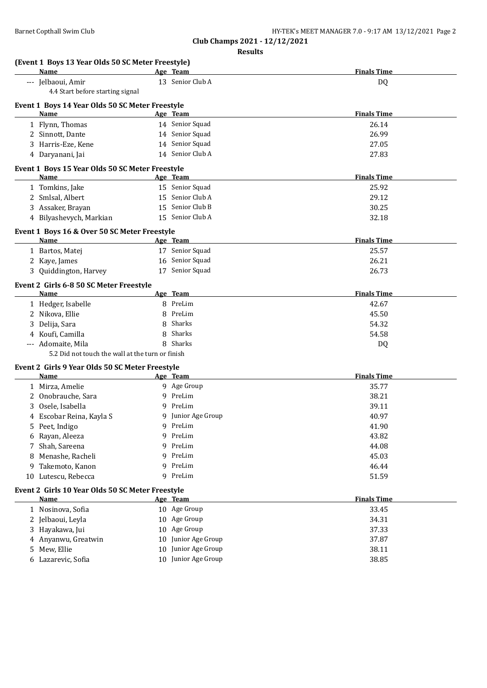|    | (Event 1 Boys 13 Year Olds 50 SC Meter Freestyle)<br>Name |    | Age Team           | <b>Finals Time</b> |
|----|-----------------------------------------------------------|----|--------------------|--------------------|
|    | --- Jelbaoui, Amir                                        |    | 13 Senior Club A   | DQ                 |
|    | 4.4 Start before starting signal                          |    |                    |                    |
|    | Event 1 Boys 14 Year Olds 50 SC Meter Freestyle           |    |                    |                    |
|    | Name                                                      |    | Age Team           | <b>Finals Time</b> |
|    | 1 Flynn, Thomas                                           |    | 14 Senior Squad    | 26.14              |
|    | 2 Sinnott, Dante                                          |    | 14 Senior Squad    | 26.99              |
|    | 3 Harris-Eze, Kene                                        |    | 14 Senior Squad    | 27.05              |
|    | 4 Daryanani, Jai                                          |    | 14 Senior Club A   | 27.83              |
|    | Event 1 Boys 15 Year Olds 50 SC Meter Freestyle           |    |                    |                    |
|    | Name                                                      |    | Age Team           | <b>Finals Time</b> |
|    | 1 Tomkins, Jake                                           |    | 15 Senior Squad    | 25.92              |
|    | 2 Smlsal, Albert                                          |    | 15 Senior Club A   | 29.12              |
|    | 3 Assaker, Brayan                                         |    | 15 Senior Club B   | 30.25              |
|    | 4 Bilyashevych, Markian                                   |    | 15 Senior Club A   | 32.18              |
|    | Event 1 Boys 16 & Over 50 SC Meter Freestyle              |    |                    |                    |
|    | Name                                                      |    | Age Team           | <b>Finals Time</b> |
|    | 1 Bartos, Matej                                           |    | 17 Senior Squad    | 25.57              |
|    | 2 Kaye, James                                             |    | 16 Senior Squad    | 26.21              |
| 3  | Quiddington, Harvey                                       |    | 17 Senior Squad    | 26.73              |
|    | Event 2 Girls 6-8 50 SC Meter Freestyle                   |    |                    |                    |
|    | Name                                                      |    | Age Team           | <b>Finals Time</b> |
|    | 1 Hedger, Isabelle                                        |    | 8 PreLim           | 42.67              |
|    | 2 Nikova, Ellie                                           |    | 8 PreLim           | 45.50              |
| 3  | Delija, Sara                                              | 8  | Sharks             | 54.32              |
|    | 4 Koufi, Camilla                                          | 8  | Sharks             | 54.58              |
|    | --- Adomaite, Mila                                        | 8  | Sharks             | DQ                 |
|    | 5.2 Did not touch the wall at the turn or finish          |    |                    |                    |
|    | Event 2 Girls 9 Year Olds 50 SC Meter Freestyle           |    |                    |                    |
|    | Name                                                      |    | <u>Age Team</u>    | <b>Finals Time</b> |
|    | 1 Mirza, Amelie                                           |    | 9 Age Group        | 35.77              |
|    | 2 Onobrauche, Sara                                        |    | 9 PreLim           | 38.21              |
| 3  | Osele, Isabella                                           | 9. | PreLim             | 39.11              |
|    | 4 Escobar Reina, Kayla S                                  |    | 9 Junior Age Group | 40.97              |
|    | 5 Peet, Indigo                                            |    | 9 PreLim           | 41.90              |
| 6  | Rayan, Aleeza                                             |    | 9 PreLim           | 43.82              |
| 7  | Shah, Sareena                                             |    | 9 PreLim           | 44.08              |
| 8  | Menashe, Racheli                                          |    | 9 PreLim           | 45.03              |
| 9  | Takemoto, Kanon                                           |    | 9 PreLim           | 46.44              |
|    | Lutescu, Rebecca                                          |    | 9 PreLim           | 51.59              |
| 10 |                                                           |    |                    |                    |
|    |                                                           |    |                    |                    |
|    | Event 2 Girls 10 Year Olds 50 SC Meter Freestyle<br>Name  |    | Age Team           | <b>Finals Time</b> |
|    |                                                           |    | 10 Age Group       |                    |
|    | 1 Nosinova, Sofia                                         |    | 10 Age Group       | 33.45<br>34.31     |
| 3  | 2 Jelbaoui, Leyla                                         |    | 10 Age Group       | 37.33              |
| 4  | Hayakawa, Jui                                             | 10 | Junior Age Group   |                    |
| 5  | Anyanwu, Greatwin<br>Mew, Ellie                           | 10 | Junior Age Group   | 37.87<br>38.11     |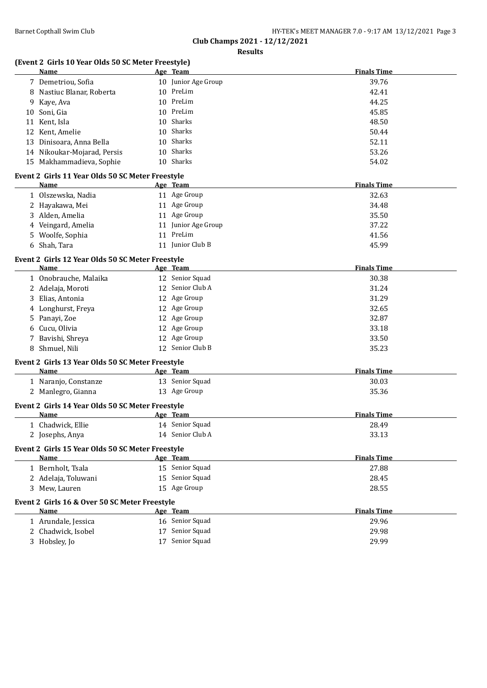# **(Event 2 Girls 10 Year Olds 50 SC Meter Freestyle)**

|    | Name                                                     |    | Age Team            | <b>Finals Time</b> |
|----|----------------------------------------------------------|----|---------------------|--------------------|
|    | 7 Demetriou, Sofia                                       |    | 10 Junior Age Group | 39.76              |
| 8  | Nastiuc Blanar, Roberta                                  |    | 10 PreLim           | 42.41              |
|    | 9 Kaye, Ava                                              |    | 10 PreLim           | 44.25              |
|    | 10 Soni, Gia                                             |    | 10 PreLim           | 45.85              |
| 11 | Kent, Isla                                               | 10 | Sharks              | 48.50              |
|    | 12 Kent, Amelie                                          | 10 | Sharks              | 50.44              |
| 13 | Dinisoara, Anna Bella                                    | 10 | Sharks              | 52.11              |
|    | 14 Nikoukar-Mojarad, Persis                              | 10 | Sharks              | 53.26              |
|    | 15 Makhammadieva, Sophie                                 |    | 10 Sharks           | 54.02              |
|    | Event 2 Girls 11 Year Olds 50 SC Meter Freestyle         |    |                     |                    |
|    | Name                                                     |    | Age Team            | <b>Finals Time</b> |
|    | 1 Olszewska, Nadia                                       |    | 11 Age Group        | 32.63              |
|    | 2 Hayakawa, Mei                                          |    | 11 Age Group        | 34.48              |
|    | 3 Alden, Amelia                                          |    | 11 Age Group        | 35.50              |
|    | 4 Veingard, Amelia                                       |    | 11 Junior Age Group | 37.22              |
|    | 5 Woolfe, Sophia                                         |    | 11 PreLim           | 41.56              |
| 6  | Shah, Tara                                               |    | 11 Junior Club B    | 45.99              |
|    |                                                          |    |                     |                    |
|    | Event 2 Girls 12 Year Olds 50 SC Meter Freestyle<br>Name |    | Age Team            | <b>Finals Time</b> |
|    | 1 Onobrauche, Malaika                                    |    | 12 Senior Squad     | 30.38              |
|    | 2 Adelaja, Moroti                                        |    | 12 Senior Club A    | 31.24              |
|    | 3 Elias, Antonia                                         |    | 12 Age Group        | 31.29              |
| 4  | Longhurst, Freya                                         |    | 12 Age Group        | 32.65              |
| 5. | Panayi, Zoe                                              |    | 12 Age Group        | 32.87              |
| 6  | Cucu, Olivia                                             |    | 12 Age Group        | 33.18              |
|    | 7 Bavishi, Shreya                                        |    | 12 Age Group        | 33.50              |
| 8  | Shmuel, Nili                                             |    | 12 Senior Club B    | 35.23              |
|    |                                                          |    |                     |                    |
|    | Event 2 Girls 13 Year Olds 50 SC Meter Freestyle<br>Name |    | Age Team            | <b>Finals Time</b> |
|    | 1 Naranjo, Constanze                                     |    | 13 Senior Squad     | 30.03              |
|    | 2 Manlegro, Gianna                                       |    | 13 Age Group        | 35.36              |
|    |                                                          |    |                     |                    |
|    | Event 2 Girls 14 Year Olds 50 SC Meter Freestyle         |    |                     |                    |
|    | Name                                                     |    | Age Team            | <b>Finals Time</b> |
|    | 1 Chadwick, Ellie                                        |    | 14 Senior Squad     | 28.49              |
|    | 2 Josephs, Anya                                          |    | 14 Senior Club A    | 33.13              |
|    | Event 2 Girls 15 Year Olds 50 SC Meter Freestyle         |    |                     |                    |
|    | Name                                                     |    | Age Team            | <b>Finals Time</b> |
|    | 1 Bernholt, Tsala                                        |    | 15 Senior Squad     | 27.88              |
|    | 2 Adelaja, Toluwani                                      |    | 15 Senior Squad     | 28.45              |
|    | 3 Mew, Lauren                                            |    | 15 Age Group        | 28.55              |
|    | Event 2 Girls 16 & Over 50 SC Meter Freestyle            |    |                     |                    |
|    | <b>Name</b>                                              |    | Age Team            | <b>Finals Time</b> |
|    | 1 Arundale, Jessica                                      |    | 16 Senior Squad     | 29.96              |
|    | 2 Chadwick, Isobel                                       |    | 17 Senior Squad     | 29.98              |
|    | 3 Hobsley, Jo                                            |    | 17 Senior Squad     | 29.99              |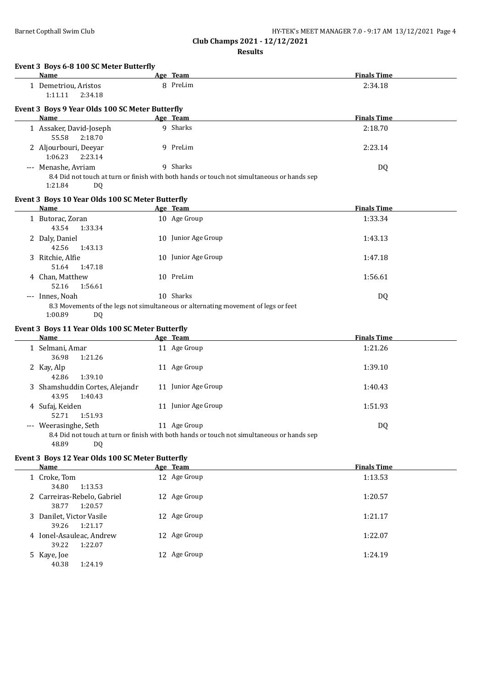| HY-TEK's MEET MANAGER 7.0 - 9:17 AM 13/12/2021 Page 4 |  |  |
|-------------------------------------------------------|--|--|
|                                                       |  |  |

**Club Champs 2021 - 12/12/2021**

**Results**

| <b>EVEILLY DUVS 0-0 TOO SC MELET DULLETIN</b>   |  |          |  |  |  |
|-------------------------------------------------|--|----------|--|--|--|
| Name                                            |  | Age Team |  |  |  |
| 1 Demetriou, Aristos                            |  | PreLim   |  |  |  |
| $1:11.11$ $2:34.18$                             |  |          |  |  |  |
|                                                 |  |          |  |  |  |
| Event 3 Boys 9 Year Olds 100 SC Meter Butterfly |  |          |  |  |  |
| Name                                            |  | Age Team |  |  |  |
| 1 Assaker, David-Joseph                         |  | Sharks   |  |  |  |

# **Event 3 Boys 6-8 100 SC Meter Butterfly**

| Name                                             | Age Team                                                                                               | <b>Finals Time</b> |
|--------------------------------------------------|--------------------------------------------------------------------------------------------------------|--------------------|
| 1 Demetriou, Aristos                             | 8 PreLim                                                                                               | 2:34.18            |
| 1:11.11<br>2:34.18                               |                                                                                                        |                    |
| Event 3 Boys 9 Year Olds 100 SC Meter Butterfly  |                                                                                                        |                    |
| Name                                             | Age Team                                                                                               | <b>Finals Time</b> |
| 1 Assaker, David-Joseph<br>55.58<br>2:18.70      | 9 Sharks                                                                                               | 2:18.70            |
| 2 Aljourbouri, Deeyar<br>1:06.23<br>2:23.14      | 9 PreLim                                                                                               | 2:23.14            |
| Menashe, Avriam<br>$---$<br>1:21.84<br>DQ        | 9 Sharks<br>8.4 Did not touch at turn or finish with both hands or touch not simultaneous or hands sep | DQ                 |
| Event 3 Boys 10 Year Olds 100 SC Meter Butterfly |                                                                                                        |                    |
| Name                                             | Age Team                                                                                               | <b>Finals Time</b> |
| 1 Butorac, Zoran<br>43.54<br>1:33.34             | 10 Age Group                                                                                           | 1:33.34            |
| 2 Daly, Daniel<br>42.56<br>1:43.13               | 10 Junior Age Group                                                                                    | 1:43.13            |
| 3 Ritchie, Alfie<br>51.64<br>1:47.18             | Junior Age Group<br>10.                                                                                | 1:47.18            |
| 4 Chan, Matthew                                  | 10 PreLim                                                                                              | 1:56.61            |

--- Innes, Noah 10 Sharks DQ 8.3 Movements of the legs not simultaneous or alternating movement of legs or feet 1:00.89 DQ

52.16 1:56.61

# **Event 3 Boys 11 Year Olds 100 SC Meter Butterfly**

| Name                                               |    | Age Team                                                                                                | <b>Finals Time</b> |
|----------------------------------------------------|----|---------------------------------------------------------------------------------------------------------|--------------------|
| 1 Selmani, Amar<br>36.98<br>1:21.26                |    | 11 Age Group                                                                                            | 1:21.26            |
| 2 Kay, Alp<br>1:39.10<br>42.86                     | 11 | Age Group                                                                                               | 1:39.10            |
| 3 Shamshuddin Cortes, Alejandr<br>1:40.43<br>43.95 |    | Junior Age Group                                                                                        | 1:40.43            |
| 4 Sufaj, Keiden<br>1:51.93<br>52.71                | 11 | Junior Age Group                                                                                        | 1:51.93            |
| --- Weerasinghe, Seth                              | 11 | Age Group<br>8.4 Did not touch at turn or finish with both hands or touch not simultaneous or hands sep | DQ                 |

48.89 DQ

## **Event 3 Boys 12 Year Olds 100 SC Meter Butterfly**

| Name                                            | Age Team     | <b>Finals Time</b> |
|-------------------------------------------------|--------------|--------------------|
| 1 Croke, Tom<br>34.80<br>1:13.53                | 12 Age Group | 1:13.53            |
| 2 Carreiras-Rebelo, Gabriel<br>38.77<br>1:20.57 | 12 Age Group | 1:20.57            |
| 3 Danilet, Victor Vasile<br>1:21.17<br>39.26    | 12 Age Group | 1:21.17            |
| 4 Ionel-Asauleac, Andrew<br>1:22.07<br>39.22    | 12 Age Group | 1:22.07            |
| 5 Kaye, Joe<br>40.38<br>1:24.19                 | 12 Age Group | 1:24.19            |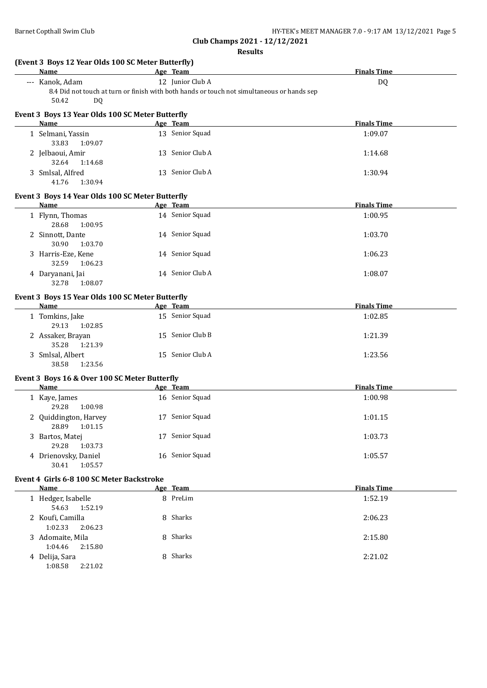| <b>Name</b>                    | (Event 3 Boys 12 Year Olds 100 SC Meter Butterfly) | Age Team                                                                                   | <b>Finals Time</b> |
|--------------------------------|----------------------------------------------------|--------------------------------------------------------------------------------------------|--------------------|
| --- Kanok, Adam                |                                                    | 12 Junior Club A                                                                           | <b>DQ</b>          |
| 50.42                          | <b>DQ</b>                                          | 8.4 Did not touch at turn or finish with both hands or touch not simultaneous or hands sep |                    |
| Name                           | Event 3 Boys 13 Year Olds 100 SC Meter Butterfly   | Age Team                                                                                   | <b>Finals Time</b> |
| 1 Selmani, Yassin              |                                                    | 13 Senior Squad                                                                            | 1:09.07            |
| 33.83                          | 1:09.07                                            |                                                                                            |                    |
| 2 Jelbaoui, Amir<br>32.64      | 1:14.68                                            | 13 Senior Club A                                                                           | 1:14.68            |
| 3 Smlsal, Alfred<br>41.76      | 1:30.94                                            | 13 Senior Club A                                                                           | 1:30.94            |
|                                | Event 3 Boys 14 Year Olds 100 SC Meter Butterfly   |                                                                                            |                    |
| Name                           |                                                    | Age Team                                                                                   | <b>Finals Time</b> |
| 1 Flynn, Thomas<br>28.68       | 1:00.95                                            | 14 Senior Squad                                                                            | 1:00.95            |
| 2 Sinnott, Dante<br>30.90      | 1:03.70                                            | 14 Senior Squad                                                                            | 1:03.70            |
| 3 Harris-Eze, Kene<br>32.59    | 1:06.23                                            | 14 Senior Squad                                                                            | 1:06.23            |
| 4 Daryanani, Jai<br>32.78      | 1:08.07                                            | 14 Senior Club A                                                                           | 1:08.07            |
|                                | Event 3 Boys 15 Year Olds 100 SC Meter Butterfly   |                                                                                            |                    |
| <b>Name</b>                    |                                                    | Age Team                                                                                   | <b>Finals Time</b> |
| 1 Tomkins, Jake<br>29.13       | 1:02.85                                            | 15 Senior Squad                                                                            | 1:02.85            |
| 2 Assaker, Brayan<br>35.28     | 1:21.39                                            | 15 Senior Club B                                                                           | 1:21.39            |
| 3 Smlsal, Albert<br>38.58      | 1:23.56                                            | 15 Senior Club A                                                                           | 1:23.56            |
|                                | Event 3 Boys 16 & Over 100 SC Meter Butterfly      |                                                                                            |                    |
| Name                           |                                                    | Age Team                                                                                   | <b>Finals Time</b> |
| 1 Kaye, James<br>29.28         | 1:00.98                                            | 16 Senior Squad                                                                            | 1:00.98            |
| 2 Quiddington, Harvey<br>28.89 | 1:01.15                                            | 17 Senior Squad                                                                            | 1:01.15            |
| 3 Bartos, Matej<br>29.28       | 1:03.73                                            | 17 Senior Squad                                                                            | 1:03.73            |
| 4 Drienovsky, Daniel<br>30.41  | 1:05.57                                            | 16 Senior Squad                                                                            | 1:05.57            |
|                                | Event 4 Girls 6-8 100 SC Meter Backstroke          |                                                                                            |                    |
| Name                           |                                                    | Age Team                                                                                   | <b>Finals Time</b> |
| 1 Hedger, Isabelle<br>54.63    | 1:52.19                                            | 8 PreLim                                                                                   | 1:52.19            |
| 2 Koufi, Camilla<br>1:02.33    | 2:06.23                                            | 8 Sharks                                                                                   | 2:06.23            |
| 3 Adomaite, Mila<br>1:04.46    | 2:15.80                                            | 8 Sharks                                                                                   | 2:15.80            |
| 4 Delija, Sara<br>1:08.58      | 2:21.02                                            | 8 Sharks                                                                                   | 2:21.02            |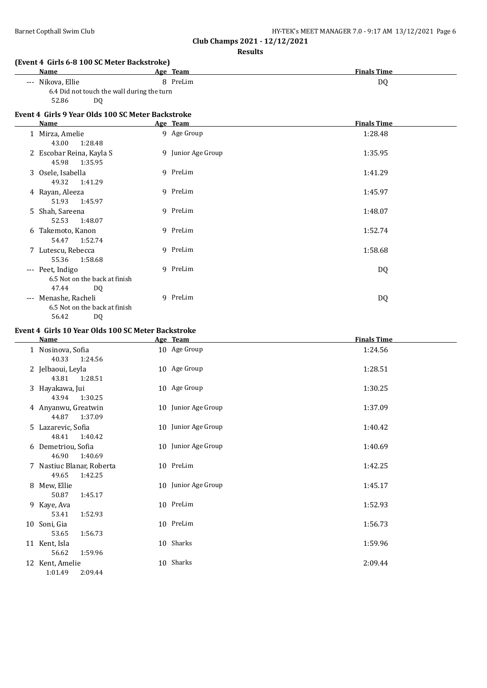| Barnet Copthall Swim Club | HY-TEK's MEET MANAGER 7.0 - 9:17 AM 13/12/2021 Page 6 |  |
|---------------------------|-------------------------------------------------------|--|
|---------------------------|-------------------------------------------------------|--|

**Club Champs 2021 - 12/12/2021**

## **Results**

# **(Event 4 Girls 6-8 100 SC Meter Backstroke)**

| Name              | Team<br>Age                                | <b>Finals Time</b> |
|-------------------|--------------------------------------------|--------------------|
| --- Nikova, Ellie | 8 PreLim                                   | D <sub>0</sub>     |
|                   | 6.4 Did not touch the wall during the turn |                    |
| 52.86<br>DO       |                                            |                    |

# **Event 4 Girls 9 Year Olds 100 SC Meter Backstroke**

|       | Name                                                             | Age Team           | <b>Finals Time</b> |
|-------|------------------------------------------------------------------|--------------------|--------------------|
|       | 1 Mirza, Amelie<br>1:28.48<br>43.00                              | 9 Age Group        | 1:28.48            |
|       | 2 Escobar Reina, Kayla S<br>45.98<br>1:35.95                     | 9 Junior Age Group | 1:35.95            |
|       | 3 Osele, Isabella<br>49.32<br>1:41.29                            | 9 PreLim           | 1:41.29            |
|       | 4 Rayan, Aleeza<br>51.93<br>1:45.97                              | 9 PreLim           | 1:45.97            |
|       | 5 Shah, Sareena<br>52.53<br>1:48.07                              | 9 PreLim           | 1:48.07            |
|       | 6 Takemoto, Kanon<br>54.47<br>1:52.74                            | 9 PreLim           | 1:52.74            |
|       | 7 Lutescu, Rebecca<br>55.36<br>1:58.68                           | 9 PreLim           | 1:58.68            |
|       | --- Peet, Indigo<br>6.5 Not on the back at finish                | 9 PreLim           | DQ                 |
| $---$ | 47.44<br>DQ<br>Menashe, Racheli<br>6.5 Not on the back at finish | 9 PreLim           | DQ                 |

## **Event 4 Girls 10 Year Olds 100 SC Meter Backstroke**

56.42 DQ

| <b>Name</b>                                   | Age Team            | <b>Finals Time</b> |
|-----------------------------------------------|---------------------|--------------------|
| 1 Nosinova, Sofia<br>1:24.56<br>40.33         | 10 Age Group        | 1:24.56            |
| 2 Jelbaoui, Leyla<br>43.81<br>1:28.51         | 10 Age Group        | 1:28.51            |
| 3 Hayakawa, Jui<br>1:30.25<br>43.94           | 10 Age Group        | 1:30.25            |
| 4 Anyanwu, Greatwin<br>44.87<br>1:37.09       | 10 Junior Age Group | 1:37.09            |
| 5 Lazarevic, Sofia<br>1:40.42<br>48.41        | 10 Junior Age Group | 1:40.42            |
| 6 Demetriou, Sofia<br>46.90<br>1:40.69        | 10 Junior Age Group | 1:40.69            |
| 7 Nastiuc Blanar, Roberta<br>49.65<br>1:42.25 | 10 PreLim           | 1:42.25            |
| 8 Mew, Ellie<br>50.87<br>1:45.17              | 10 Junior Age Group | 1:45.17            |
| 9 Kaye, Ava<br>53.41<br>1:52.93               | 10 PreLim           | 1:52.93            |
| 10 Soni, Gia<br>1:56.73<br>53.65              | 10 PreLim           | 1:56.73            |
| 11 Kent, Isla<br>1:59.96<br>56.62             | 10 Sharks           | 1:59.96            |
| 12 Kent, Amelie<br>1:01.49<br>2:09.44         | 10 Sharks           | 2:09.44            |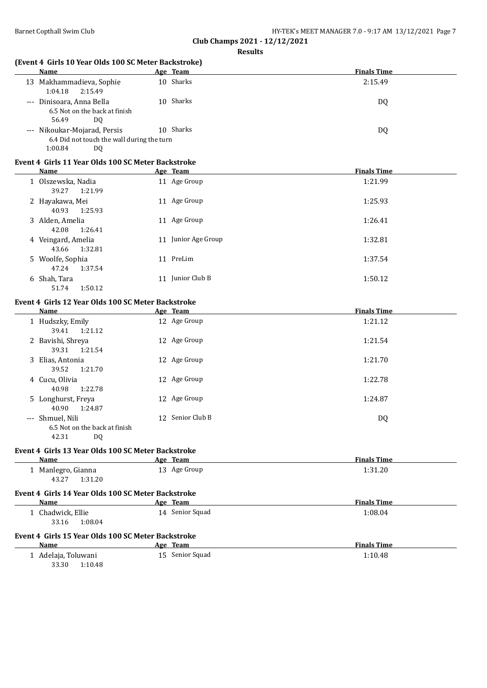**(Event 4 Girls 10 Year Olds 100 SC Meter Backstroke)**

| <b>Name</b>                                                                                        |  | Age Team                    | <b>Finals Time</b> |  |  |
|----------------------------------------------------------------------------------------------------|--|-----------------------------|--------------------|--|--|
| 13 Makhammadieva, Sophie<br>1:04.18<br>2:15.49                                                     |  | 10 Sharks                   | 2:15.49            |  |  |
| --- Dinisoara, Anna Bella<br>6.5 Not on the back at finish<br>56.49<br><b>DQ</b>                   |  | 10 Sharks                   | DQ                 |  |  |
| --- Nikoukar-Mojarad, Persis<br>6.4 Did not touch the wall during the turn<br>1:00.84<br><b>DQ</b> |  | 10 Sharks                   | DQ                 |  |  |
| Event 4 Girls 11 Year Olds 100 SC Meter Backstroke<br><b>Name</b>                                  |  | Age Team                    | <b>Finals Time</b> |  |  |
| 1 Olszewska, Nadia<br>39.27<br>1:21.99                                                             |  | 11 Age Group                | 1:21.99            |  |  |
| 2 Hayakawa, Mei<br>40.93<br>1:25.93                                                                |  | 11 Age Group                | 1:25.93            |  |  |
| 3 Alden, Amelia<br>42.08<br>1:26.41                                                                |  | 11 Age Group                | 1:26.41            |  |  |
| 4 Veingard, Amelia<br>43.66<br>1:32.81                                                             |  | 11 Junior Age Group         | 1:32.81            |  |  |
| 5 Woolfe, Sophia<br>47.24<br>1:37.54                                                               |  | 11 PreLim                   | 1:37.54            |  |  |
| 6 Shah, Tara<br>1:50.12<br>51.74                                                                   |  | 11 Junior Club B            | 1:50.12            |  |  |
| Event 4 Girls 12 Year Olds 100 SC Meter Backstroke<br>Name                                         |  | Age Team                    | <b>Finals Time</b> |  |  |
| 1 Hudszky, Emily<br>39.41<br>1:21.12                                                               |  | 12 Age Group                | 1:21.12            |  |  |
| 2 Bavishi, Shreya<br>39.31<br>1:21.54                                                              |  | 12 Age Group                | 1:21.54            |  |  |
| 3 Elias, Antonia<br>39.52<br>1:21.70                                                               |  | 12 Age Group                | 1:21.70            |  |  |
| 4 Cucu, Olivia<br>40.98<br>1:22.78                                                                 |  | 12 Age Group                | 1:22.78            |  |  |
| 5 Longhurst, Freya<br>40.90<br>1:24.87                                                             |  | 12 Age Group                | 1:24.87            |  |  |
| --- Shmuel, Nili<br>6.5 Not on the back at finish<br>DQ<br>42.31                                   |  | 12 Senior Club B            | DQ                 |  |  |
| Event 4 Girls 13 Year Olds 100 SC Meter Backstroke<br>Name                                         |  | Age Team                    | <b>Finals Time</b> |  |  |
| 1 Manlegro, Gianna<br>43.27<br>1:31.20                                                             |  | 13 Age Group                | 1:31.20            |  |  |
| Event 4 Girls 14 Year Olds 100 SC Meter Backstroke<br>Name                                         |  | Age Team                    | <b>Finals Time</b> |  |  |
| 1 Chadwick, Ellie<br>33.16<br>1:08.04                                                              |  | 14 Senior Squad             | 1:08.04            |  |  |
| Event 4 Girls 15 Year Olds 100 SC Meter Backstroke                                                 |  |                             | <b>Finals Time</b> |  |  |
| Name<br>1 Adelaja, Toluwani<br>33.30<br>1:10.48                                                    |  | Age Team<br>15 Senior Squad | 1:10.48            |  |  |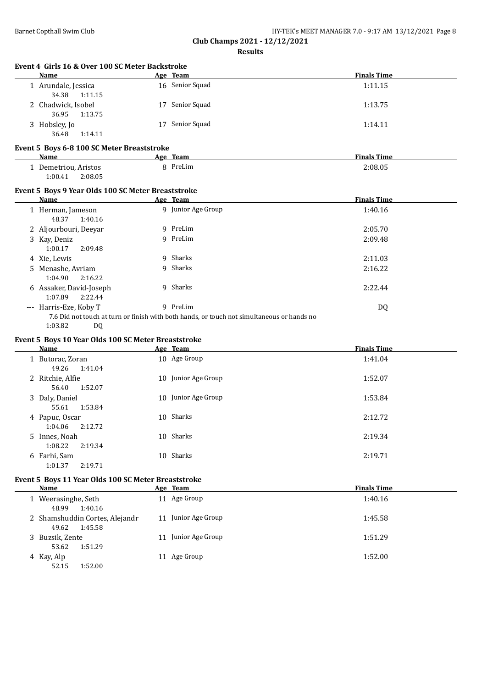**Club Champs 2021 - 12/12/2021**

**Results**

|    | Name                                                  |    | Age Team           | <b>Finals Time</b> |
|----|-------------------------------------------------------|----|--------------------|--------------------|
|    | 1 Arundale, Jessica<br>34.38<br>1:11.15               |    | 16 Senior Squad    | 1:11.15            |
|    | 2 Chadwick, Isobel<br>36.95<br>1:13.75                |    | 17 Senior Squad    | 1:13.75            |
|    | 3 Hobsley, Jo<br>1:14.11<br>36.48                     | 17 | Senior Squad       | 1:14.11            |
|    | Event 5 Boys 6-8 100 SC Meter Breaststroke            |    |                    |                    |
|    | <b>Name</b>                                           |    | Age Team           | <b>Finals Time</b> |
|    | 1 Demetriou, Aristos<br>1:00.41<br>2:08.05            |    | 8 PreLim           | 2:08.05            |
|    | Event 5 Boys 9 Year Olds 100 SC Meter Breaststroke    |    |                    |                    |
|    | Name                                                  |    | Age Team           | <b>Finals Time</b> |
|    | 1 Herman, Jameson<br>48.37<br>1:40.16                 |    | 9 Junior Age Group | 1:40.16            |
|    | 2 Aljourbouri, Deeyar                                 |    | 9 PreLim           | 2:05.70            |
|    | 3 Kay, Deniz<br>1:00.17<br>2:09.48                    |    | 9 PreLim           | 2:09.48            |
|    |                                                       |    |                    |                    |
|    |                                                       |    | 9 Sharks           | 2:11.03            |
| 5. | 4 Xie, Lewis<br>Menashe, Avriam<br>1:04.90<br>2:16.22 |    | 9 Sharks           | 2:16.22            |
|    | 6 Assaker, David-Joseph<br>1:07.89<br>2:22.44         |    | 9 Sharks           | 2:22.44            |
|    | --- Harris-Eze, Koby T                                |    | 9 PreLim           | <b>DQ</b>          |

# **Event 5 Boys 10 Year Olds 100 SC Meter Breaststroke**

| Name                      |         | Age Team            | <b>Finals Time</b> |
|---------------------------|---------|---------------------|--------------------|
| 1 Butorac, Zoran<br>49.26 | 1:41.04 | 10 Age Group        | 1:41.04            |
| 2 Ritchie, Alfie<br>56.40 | 1:52.07 | 10 Junior Age Group | 1:52.07            |
| 3 Daly, Daniel<br>55.61   | 1:53.84 | 10 Junior Age Group | 1:53.84            |
| 4 Papuc, Oscar<br>1:04.06 | 2:12.72 | 10 Sharks           | 2:12.72            |
| 5 Innes, Noah<br>1:08.22  | 2:19.34 | 10 Sharks           | 2:19.34            |
| 6 Farhi, Sam<br>1:01.37   | 2:19.71 | 10 Sharks           | 2:19.71            |

## **Event 5 Boys 11 Year Olds 100 SC Meter Breaststroke**

| Name                         |                                           | Age Team            | <b>Finals Time</b> |
|------------------------------|-------------------------------------------|---------------------|--------------------|
| 1 Weerasinghe, Seth<br>48.99 | 1:40.16                                   | 11 Age Group        | 1:40.16            |
| 49.62                        | 2 Shamshuddin Cortes, Alejandr<br>1:45.58 | 11 Junior Age Group | 1:45.58            |
| 3 Buzsik, Zente<br>53.62     | 1:51.29                                   | 11 Junior Age Group | 1:51.29            |
| 4 Kay, Alp<br>52.15          | 1:52.00                                   | 11 Age Group        | 1:52.00            |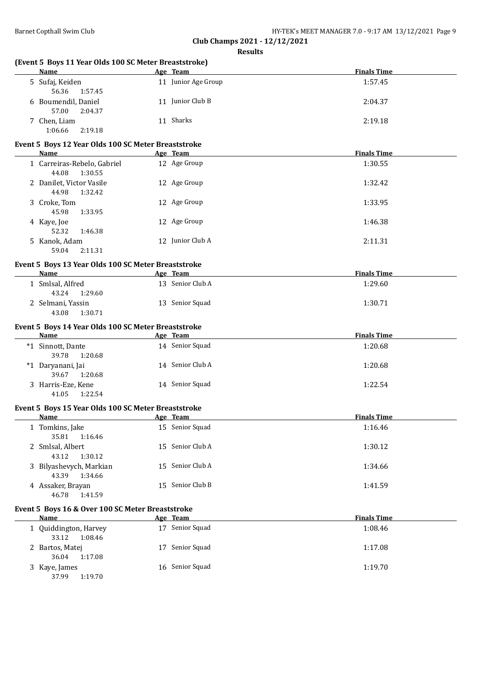| (Event 5 Boys 11 Year Olds 100 SC Meter Breaststroke)<br><b>Name</b> | Age Team            | <b>Finals Time</b> |
|----------------------------------------------------------------------|---------------------|--------------------|
| 5 Sufaj, Keiden<br>56.36<br>1:57.45                                  | 11 Junior Age Group | 1:57.45            |
| 6 Boumendil, Daniel<br>57.00<br>2:04.37                              | 11 Junior Club B    | 2:04.37            |
| 7 Chen, Liam<br>1:06.66<br>2:19.18                                   | 11 Sharks           | 2:19.18            |
| Event 5 Boys 12 Year Olds 100 SC Meter Breaststroke                  |                     |                    |
| Name                                                                 | Age Team            | <b>Finals Time</b> |
| 1 Carreiras-Rebelo, Gabriel<br>44.08<br>1:30.55                      | 12 Age Group        | 1:30.55            |
| 2 Danilet, Victor Vasile<br>44.98<br>1:32.42                         | 12 Age Group        | 1:32.42            |
| 3 Croke, Tom<br>45.98<br>1:33.95                                     | 12 Age Group        | 1:33.95            |
| 4 Kaye, Joe<br>52.32<br>1:46.38                                      | 12 Age Group        | 1:46.38            |
| 5 Kanok, Adam<br>59.04<br>2:11.31                                    | 12 Junior Club A    | 2:11.31            |
| Event 5 Boys 13 Year Olds 100 SC Meter Breaststroke                  |                     |                    |
| <b>Name</b>                                                          | Age Team            | <b>Finals Time</b> |
| 1 Smlsal, Alfred<br>43.24<br>1:29.60                                 | 13 Senior Club A    | 1:29.60            |
| 2 Selmani, Yassin<br>43.08<br>1:30.71                                | 13 Senior Squad     | 1:30.71            |
| Event 5 Boys 14 Year Olds 100 SC Meter Breaststroke<br>Name          | Age Team            | <b>Finals Time</b> |
| *1 Sinnott, Dante                                                    | 14 Senior Squad     | 1:20.68            |
| 39.78<br>1:20.68                                                     | 14 Senior Club A    |                    |
| *1 Daryanani, Jai<br>39.67<br>1:20.68                                |                     | 1:20.68            |
| 3 Harris-Eze, Kene<br>41.05<br>1:22.54                               | 14 Senior Squad     | 1:22.54            |
| Event 5 Boys 15 Year Olds 100 SC Meter Breaststroke                  |                     |                    |
| Name                                                                 | Age Team            | <b>Finals Time</b> |
| 1 Tomkins, Jake<br>35.81<br>1:16.46                                  | 15 Senior Squad     | 1:16.46            |
| 2 Smlsal, Albert<br>43.12<br>1:30.12                                 | 15 Senior Club A    | 1:30.12            |
| 3 Bilyashevych, Markian<br>43.39<br>1:34.66                          | 15 Senior Club A    | 1:34.66            |
| 4 Assaker, Brayan<br>46.78<br>1:41.59                                | 15 Senior Club B    | 1:41.59            |
| Event 5 Boys 16 & Over 100 SC Meter Breaststroke                     |                     |                    |
| <b>Name</b>                                                          | Age Team            | <b>Finals Time</b> |
| 1 Quiddington, Harvey<br>33.12<br>1:08.46                            | 17 Senior Squad     | 1:08.46            |
| 2 Bartos, Matej                                                      | 17 Senior Squad     | 1:17.08            |
| 36.04<br>1:17.08                                                     |                     |                    |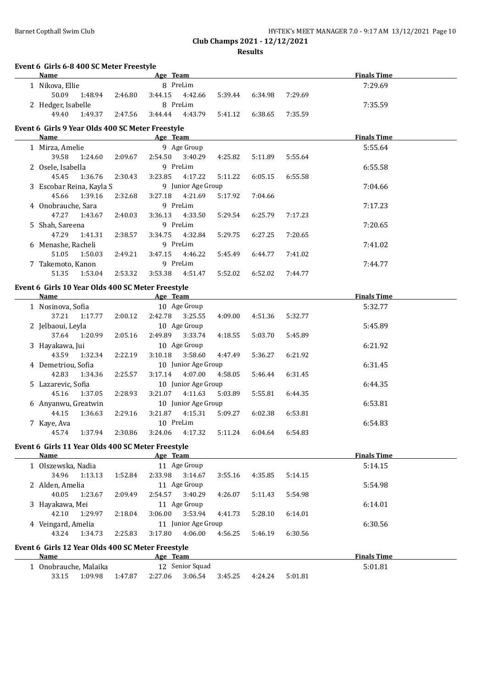| Barnet Copthall Swim Club | HY-TEK's MEET MANAGER 7.0 - 9:17 AM 13/12/2021 Page 10 |
|---------------------------|--------------------------------------------------------|
|                           | Club Champs 2021 - 12/12/2021                          |
|                           |                                                        |

**Results**

| Event 6 Girls 6-8 400 SC Meter Freestyle<br>Name          |         | Age Team  |                     |         |         |         | <b>Finals Time</b> |  |
|-----------------------------------------------------------|---------|-----------|---------------------|---------|---------|---------|--------------------|--|
| 1 Nikova, Ellie                                           |         |           | 8 PreLim            |         |         |         | 7:29.69            |  |
| 50.09<br>1:48.94                                          | 2:46.80 | 3:44.15   | 4:42.66             | 5:39.44 | 6:34.98 | 7:29.69 |                    |  |
| 2 Hedger, Isabelle                                        |         |           | 8 PreLim            |         |         |         | 7:35.59            |  |
| 49.40<br>1:49.37                                          | 2:47.56 | 3:44.44   | 4:43.79             | 5:41.12 | 6:38.65 | 7:35.59 |                    |  |
| Event 6 Girls 9 Year Olds 400 SC Meter Freestyle          |         |           |                     |         |         |         |                    |  |
| Name                                                      |         | Age Team  |                     |         |         |         | <b>Finals Time</b> |  |
| 1 Mirza, Amelie                                           |         |           | 9 Age Group         |         |         |         | 5:55.64            |  |
| 39.58<br>1:24.60                                          | 2:09.67 | 2:54.50   | 3:40.29             | 4:25.82 | 5:11.89 | 5:55.64 |                    |  |
| 2 Osele, Isabella                                         |         |           | 9 PreLim            |         |         |         | 6:55.58            |  |
| 45.45<br>1:36.76                                          | 2:30.43 | 3:23.85   | 4:17.22             | 5:11.22 | 6:05.15 | 6:55.58 |                    |  |
| 3 Escobar Reina, Kayla S                                  |         |           | 9 Junior Age Group  |         |         |         | 7:04.66            |  |
| 45.66<br>1:39.16                                          | 2:32.68 | 3:27.18   | 4:21.69             | 5:17.92 | 7:04.66 |         |                    |  |
| 4 Onobrauche, Sara                                        |         |           | 9 PreLim            |         |         |         | 7:17.23            |  |
| 47.27<br>1:43.67                                          | 2:40.03 | 3:36.13   | 4:33.50             | 5:29.54 | 6:25.79 | 7:17.23 |                    |  |
| 5 Shah, Sareena                                           |         |           | 9 PreLim            |         |         |         | 7:20.65            |  |
| 47.29<br>1:41.31                                          | 2:38.57 | 3:34.75   | 4:32.84             | 5:29.75 | 6:27.25 | 7:20.65 |                    |  |
| 6 Menashe, Racheli                                        |         |           | 9 PreLim            |         |         |         | 7:41.02            |  |
| 51.05<br>1:50.03                                          | 2:49.21 | 3:47.15   | 4:46.22             | 5:45.49 | 6:44.77 | 7:41.02 |                    |  |
| 7 Takemoto, Kanon                                         |         |           | 9 PreLim            |         |         |         | 7:44.77            |  |
| 51.35<br>1:53.04                                          | 2:53.32 | 3:53.38   | 4:51.47             | 5:52.02 | 6:52.02 | 7:44.77 |                    |  |
|                                                           |         |           |                     |         |         |         |                    |  |
| Event 6 Girls 10 Year Olds 400 SC Meter Freestyle<br>Name |         | Age Team  |                     |         |         |         | <b>Finals Time</b> |  |
| 1 Nosinova, Sofia                                         |         |           | 10 Age Group        |         |         |         | 5:32.77            |  |
| 37.21<br>1:17.77                                          | 2:00.12 | 2:42.78   | 3:25.55             | 4:09.00 | 4:51.36 | 5:32.77 |                    |  |
| 2 Jelbaoui, Leyla                                         |         |           | 10 Age Group        |         |         |         | 5:45.89            |  |
| 37.64<br>1:20.99                                          | 2:05.16 | 2:49.89   | 3:33.74             | 4:18.55 | 5:03.70 | 5:45.89 |                    |  |
| 3 Hayakawa, Jui                                           |         |           | 10 Age Group        |         |         |         | 6:21.92            |  |
| 43.59<br>1:32.34                                          | 2:22.19 | 3:10.18   | 3:58.60             | 4:47.49 | 5:36.27 | 6:21.92 |                    |  |
| 4 Demetriou, Sofia                                        |         |           | 10 Junior Age Group |         |         |         | 6:31.45            |  |
| 42.83<br>1:34.36                                          | 2:25.57 | 3:17.14   | 4:07.00             | 4:58.05 | 5:46.44 | 6:31.45 |                    |  |
| 5 Lazarevic, Sofia                                        |         |           | 10 Junior Age Group |         |         |         | 6:44.35            |  |
| 45.16<br>1:37.05                                          | 2:28.93 | 3:21.07   | 4:11.63             | 5:03.89 | 5:55.81 | 6:44.35 |                    |  |
|                                                           |         |           |                     |         |         |         |                    |  |
| 6 Anyanwu, Greatwin                                       |         |           | 10 Junior Age Group |         |         |         | 6:53.81            |  |
| 44.15<br>1:36.63                                          | 2:29.16 | 3:21.87   | 4:15.31             | 5:09.27 | 6:02.38 | 6:53.81 |                    |  |
| 7 Kaye, Ava                                               |         | 10 PreLim |                     |         |         |         | 6:54.83            |  |
| 1:37.94<br>45.74                                          | 2:30.86 | 3:24.06   | 4:17.32             | 5:11.24 | 6:04.64 | 6:54.83 |                    |  |
| Event 6 Girls 11 Year Olds 400 SC Meter Freestyle         |         |           |                     |         |         |         |                    |  |
| <b>Name</b>                                               |         | Age Team  |                     |         |         |         | <b>Finals Time</b> |  |
| 1 Olszewska, Nadia                                        |         |           | 11 Age Group        |         |         |         | 5:14.15            |  |
| 34.96<br>1:13.13                                          | 1:52.84 | 2:33.98   | 3:14.67             | 3:55.16 | 4:35.85 | 5:14.15 |                    |  |
| 2 Alden, Amelia                                           |         |           | 11 Age Group        |         |         |         | 5:54.98            |  |
| 40.05<br>1:23.67                                          | 2:09.49 | 2:54.57   | 3:40.29             | 4:26.07 | 5:11.43 | 5:54.98 |                    |  |
| 3 Hayakawa, Mei                                           |         |           | 11 Age Group        |         |         |         | 6:14.01            |  |
| 42.10<br>1:29.97                                          | 2:18.04 | 3:06.00   | 3:53.94             | 4:41.73 | 5:28.10 | 6:14.01 |                    |  |
| 4 Veingard, Amelia                                        |         |           | 11 Junior Age Group |         |         |         | 6:30.56            |  |
| 43.24                                                     |         |           | 4:06.00             |         |         |         |                    |  |
| 1:34.73                                                   | 2:25.83 | 3:17.80   |                     | 4:56.25 | 5:46.19 | 6:30.56 |                    |  |
| Event 6 Girls 12 Year Olds 400 SC Meter Freestyle         |         |           |                     |         |         |         |                    |  |
|                                                           |         | Age Team  |                     |         |         |         | <b>Finals Time</b> |  |
| Name                                                      |         |           |                     |         |         |         |                    |  |
| 1 Onobrauche, Malaika                                     |         |           | 12 Senior Squad     |         |         |         | 5:01.81            |  |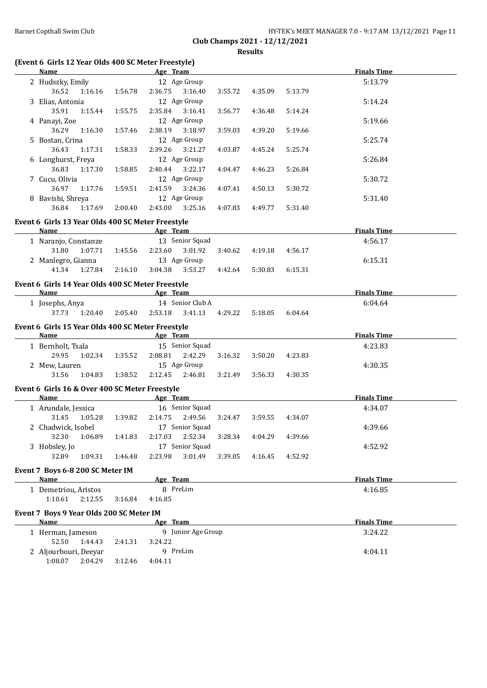|                               | HY-TEK's MEET MANAGER 7.0 - 9:17 AM 13/12/2021 Page 11 |  |
|-------------------------------|--------------------------------------------------------|--|
| Club Champs 2021 - 12/12/2021 |                                                        |  |

**Results**

# **(Event 6 Girls 12 Year Olds 400 SC Meter Freestyle)**

| Name Age Team                                     |         |                              |         |         |         | <b>Finals Time</b> |  |
|---------------------------------------------------|---------|------------------------------|---------|---------|---------|--------------------|--|
|                                                   |         | 12 Age Group                 |         |         |         | 5:13.79            |  |
| 2 Hudszky, Emily                                  |         |                              |         |         |         |                    |  |
| 36.52<br>1:16.16                                  | 1:56.78 | 2:36.75<br>3:16.40           | 3:55.72 | 4:35.09 | 5:13.79 |                    |  |
| 3 Elias, Antonia                                  |         | 12 Age Group                 |         |         |         | 5:14.24            |  |
| 35.91<br>1:15.44                                  | 1:55.75 | 2:35.84<br>3:16.41           | 3:56.77 | 4:36.48 | 5:14.24 |                    |  |
| 4 Panayi, Zoe                                     |         | 12 Age Group                 |         |         |         | 5:19.66            |  |
| 36.29<br>1:16.30                                  | 1:57.46 | 2:38.19<br>3:18.97           | 3:59.03 | 4:39.20 | 5:19.66 |                    |  |
| 5 Bostan, Crina                                   |         | 12 Age Group                 |         |         |         | 5:25.74            |  |
| 36.43<br>1:17.31                                  | 1:58.33 | 2:39.26<br>3:21.27           | 4:03.87 | 4:45.24 | 5:25.74 |                    |  |
| 6 Longhurst, Freya                                |         | 12 Age Group                 |         |         |         | 5:26.84            |  |
| 36.83<br>1:17.30                                  | 1:58.85 | 2:40.44<br>3:22.17           | 4:04.47 | 4:46.23 | 5:26.84 |                    |  |
| 7 Cucu, Olivia                                    |         | 12 Age Group                 |         |         |         | 5:30.72            |  |
| 36.97<br>1:17.76                                  | 1:59.51 | 2:41.59<br>3:24.36           | 4:07.41 | 4:50.13 | 5:30.72 |                    |  |
| 8 Bavishi, Shreya                                 |         | 12 Age Group                 |         |         |         | 5:31.40            |  |
| 36.84<br>1:17.69                                  | 2:00.40 | 2:43.00<br>3:25.16           | 4:07.83 | 4:49.77 | 5:31.40 |                    |  |
| Event 6 Girls 13 Year Olds 400 SC Meter Freestyle |         |                              |         |         |         |                    |  |
| Name                                              |         | Age Team                     |         |         |         | <b>Finals Time</b> |  |
| 1 Naranjo, Constanze                              |         | 13 Senior Squad              |         |         |         | 4:56.17            |  |
| 31.80<br>1:07.71                                  | 1:45.56 | 2:23.60<br>3:01.92           | 3:40.62 | 4:19.18 | 4:56.17 |                    |  |
| 2 Manlegro, Gianna                                |         | 13 Age Group                 |         |         |         |                    |  |
| 41.34<br>1:27.84                                  | 2:16.10 | 3:04.38 3:53.27              | 4:42.64 | 5:30.83 | 6:15.31 | 6:15.31            |  |
|                                                   |         |                              |         |         |         |                    |  |
| Event 6 Girls 14 Year Olds 400 SC Meter Freestyle |         |                              |         |         |         |                    |  |
| Name                                              |         | all a subset of the Age Team |         |         |         | <b>Finals Time</b> |  |
| 1 Josephs, Anya                                   |         | 14 Senior Club A             |         |         |         | 6:04.64            |  |
| 37.73<br>1:20.40                                  | 2:05.40 | 2:53.18<br>3:41.13           | 4:29.22 | 5:18.05 | 6:04.64 |                    |  |
| Event 6 Girls 15 Year Olds 400 SC Meter Freestyle |         |                              |         |         |         |                    |  |
| Name                                              |         | Age Team                     |         |         |         | <b>Finals Time</b> |  |
| 1 Bernholt, Tsala                                 |         | 15 Senior Squad              |         |         |         | 4:23.83            |  |
| 29.95<br>1:02.34                                  | 1:35.52 | 2:08.81<br>2:42.29           | 3:16.32 | 3:50.20 | 4:23.83 |                    |  |
| 2 Mew, Lauren                                     |         | 15 Age Group                 |         |         |         | 4:30.35            |  |
| 31.56<br>1:04.83                                  | 1:38.52 | 2:12.45<br>2:46.81           | 3:21.49 | 3:56.33 | 4:30.35 |                    |  |
|                                                   |         |                              |         |         |         |                    |  |
| Event 6 Girls 16 & Over 400 SC Meter Freestyle    |         |                              |         |         |         |                    |  |
| Name                                              |         | <b>Example 2016</b> Age Team |         |         |         | <b>Finals Time</b> |  |
| 1 Arundale, Jessica                               |         | 16 Senior Squad              |         |         |         | 4:34.07            |  |
| 31.45<br>1:05.28                                  | 1:39.82 | 2:49.56<br>2:14.75           | 3:24.47 | 3:59.55 | 4:34.07 |                    |  |
| 2 Chadwick, Isobel                                |         | 17 Senior Squad              |         |         |         | 4:39.66            |  |
| 32.30<br>1:06.89                                  | 1:41.83 | 2:17.03<br>2:52.34           | 3:28.34 | 4:04.29 | 4:39.66 |                    |  |
| 3 Hobsley, Jo                                     |         | 17 Senior Squad              |         |         |         | 4:52.92            |  |
| 32.89<br>1:09.31                                  | 1:46.48 | 2:23.98<br>3:01.49           | 3:39.05 | 4:16.45 | 4:52.92 |                    |  |
|                                                   |         |                              |         |         |         |                    |  |
| Event 7 Boys 6-8 200 SC Meter IM<br><b>Name</b>   |         | Age Team                     |         |         |         | <b>Finals Time</b> |  |
|                                                   |         | 8 PreLim                     |         |         |         |                    |  |
| 1 Demetriou, Aristos                              |         |                              |         |         |         | 4:16.85            |  |
| 1:10.61<br>2:12.55                                | 3:16.84 | 4:16.85                      |         |         |         |                    |  |
| Event 7 Boys 9 Year Olds 200 SC Meter IM          |         |                              |         |         |         |                    |  |
| Name                                              |         | Age Team                     |         |         |         | <b>Finals Time</b> |  |
| 1 Herman, Jameson                                 |         | 9 Junior Age Group           |         |         |         | 3:24.22            |  |
| 52.50<br>1:44.43                                  | 2:41.31 | 3:24.22                      |         |         |         |                    |  |
| 2 Aljourbouri, Deeyar                             |         | 9 PreLim                     |         |         |         | 4:04.11            |  |
|                                                   |         |                              |         |         |         |                    |  |
| 1:08.07<br>2:04.29                                | 3:12.46 | 4:04.11                      |         |         |         |                    |  |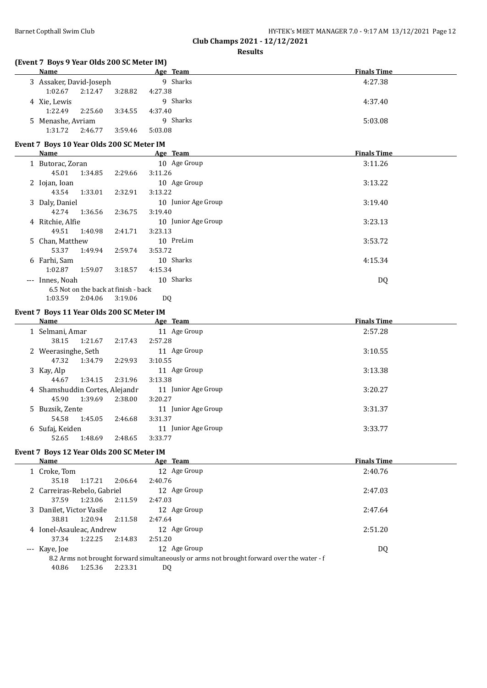|  | $0.001 - 10.110 10.001$                                |  |
|--|--------------------------------------------------------|--|
|  | HY-TEK's MEET MANAGER 7.0 - 9:17 AM 13/12/2021 Page 12 |  |

#### **(Event 7 Boys 9 Year Olds 200 SC Meter IM)**

| $\frac{1}{2}$ . The state of $\frac{1}{2}$ is the state of $\frac{1}{2}$ . The state of $\frac{1}{2}$ |         |         |          |                    |  |  |
|-------------------------------------------------------------------------------------------------------|---------|---------|----------|--------------------|--|--|
| <b>Name</b>                                                                                           |         |         | Age Team | <b>Finals Time</b> |  |  |
| 3 Assaker, David-Joseph                                                                               |         |         | 9 Sharks | 4:27.38            |  |  |
| 1:02.67                                                                                               | 2:12.47 | 3:28.82 | 4:27.38  |                    |  |  |
| 4 Xie, Lewis                                                                                          |         |         | 9 Sharks | 4:37.40            |  |  |
| 1:22.49                                                                                               | 2:25.60 | 3:34.55 | 4:37.40  |                    |  |  |
| 5 Menashe, Avriam                                                                                     |         |         | 9 Sharks | 5:03.08            |  |  |
| 1:31.72                                                                                               | 2:46.77 | 3:59.46 | 5:03.08  |                    |  |  |
|                                                                                                       |         |         |          |                    |  |  |

# **Event 7 Boys 10 Year Olds 200 SC Meter IM**

| Name             |         |                                      | Age Team            | <b>Finals Time</b> |
|------------------|---------|--------------------------------------|---------------------|--------------------|
| 1 Butorac, Zoran |         |                                      | 10 Age Group        | 3:11.26            |
| 45.01            | 1:34.85 | 2:29.66                              | 3:11.26             |                    |
| 2 Iojan, Ioan    |         |                                      | 10 Age Group        | 3:13.22            |
| 43.54            | 1:33.01 | 2:32.91                              | 3:13.22             |                    |
| 3 Daly, Daniel   |         |                                      | 10 Junior Age Group | 3:19.40            |
| 42.74            | 1:36.56 | 2:36.75                              | 3:19.40             |                    |
| 4 Ritchie, Alfie |         |                                      | 10 Junior Age Group | 3:23.13            |
| 49.51            | 1:40.98 | 2:41.71                              | 3:23.13             |                    |
| 5 Chan, Matthew  |         |                                      | 10 PreLim           | 3:53.72            |
| 53.37            | 1:49.94 | 2:59.74                              | 3:53.72             |                    |
| 6 Farhi, Sam     |         |                                      | 10 Sharks           | 4:15.34            |
| 1:02.87          | 1:59.07 | 3:18.57                              | 4:15.34             |                    |
| --- Innes, Noah  |         |                                      | 10 Sharks           | DQ                 |
|                  |         | 6.5 Not on the back at finish - back |                     |                    |
| 1:03.59          | 2:04.06 | 3:19.06                              | DQ                  |                    |

### **Event 7 Boys 11 Year Olds 200 SC Meter IM**

| Name                           |         |         | Age Team               | <b>Finals Time</b> |
|--------------------------------|---------|---------|------------------------|--------------------|
| 1 Selmani, Amar                |         |         | 11 Age Group           | 2:57.28            |
| 38.15                          | 1:21.67 | 2:17.43 | 2:57.28                |                    |
| 2 Weerasinghe, Seth            |         |         | 11 Age Group           | 3:10.55            |
| 47.32                          | 1:34.79 | 2:29.93 | 3:10.55                |                    |
| 3 Kay, Alp                     |         |         | 11 Age Group           | 3:13.38            |
| 44.67                          | 1:34.15 | 2:31.96 | 3:13.38                |                    |
| 4 Shamshuddin Cortes, Alejandr |         |         | 11 Junior Age Group    | 3:20.27            |
| 45.90                          | 1:39.69 | 2:38.00 | 3:20.27                |                    |
| 5 Buzsik, Zente                |         |         | 11 Junior Age Group    | 3:31.37            |
| 54.58                          | 1:45.05 | 2:46.68 | 3:31.37                |                    |
| 6 Sufaj, Keiden                |         |         | Junior Age Group<br>11 | 3:33.77            |
| 52.65                          | 1:48.69 | 2:48.65 | 3:33.77                |                    |

### **Event 7 Boys 12 Year Olds 200 SC Meter IM**

| Name                        |         |         | Age Team                                                                                   | <b>Finals Time</b> |  |
|-----------------------------|---------|---------|--------------------------------------------------------------------------------------------|--------------------|--|
| 1 Croke, Tom                |         |         | 12 Age Group                                                                               | 2:40.76            |  |
| 35.18                       | 1:17.21 | 2:06.64 | 2:40.76                                                                                    |                    |  |
| 2 Carreiras-Rebelo, Gabriel |         |         | 12 Age Group                                                                               | 2:47.03            |  |
| 37.59                       | 1:23.06 | 2:11.59 | 2:47.03                                                                                    |                    |  |
| 3 Danilet, Victor Vasile    |         |         | 12 Age Group                                                                               | 2:47.64            |  |
| 38.81                       | 1:20.94 | 2:11.58 | 2:47.64                                                                                    |                    |  |
| 4 Ionel-Asauleac, Andrew    |         |         | 12 Age Group                                                                               | 2:51.20            |  |
| 37.34                       | 1:22.25 | 2:14.83 | 2:51.20                                                                                    |                    |  |
| --- Kaye, Joe               |         |         | 12 Age Group                                                                               | DQ                 |  |
|                             |         |         | 8.2 Arms not brought forward simultaneously or arms not brought forward over the water - f |                    |  |
| 40.86                       | 1:25.36 | 2:23.31 | DQ                                                                                         |                    |  |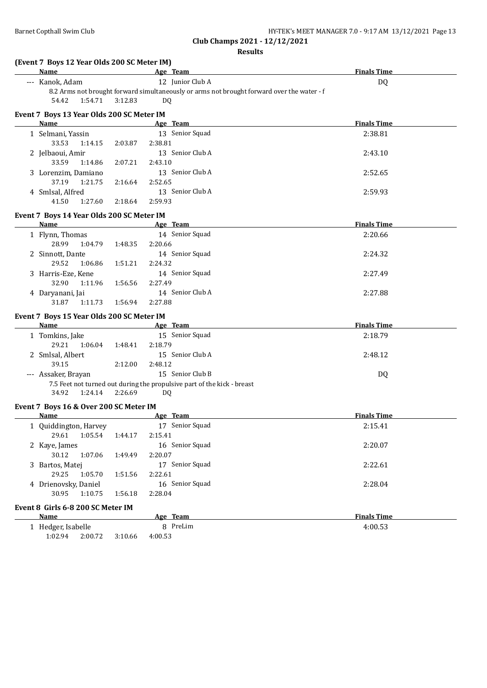| Barnet Copthall Swim Club                         |                    |                                                                         | HY-TEK's MEET MANAGER 7.0 - 9:17 AM 13/12/2021 Page 13<br>Club Champs 2021 - 12/12/2021    |
|---------------------------------------------------|--------------------|-------------------------------------------------------------------------|--------------------------------------------------------------------------------------------|
|                                                   |                    |                                                                         | <b>Results</b>                                                                             |
| (Event 7 Boys 12 Year Olds 200 SC Meter IM)       |                    |                                                                         |                                                                                            |
| Name                                              |                    | Age Team                                                                | <b>Finals Time</b>                                                                         |
| --- Kanok, Adam                                   |                    | 12 Junior Club A                                                        | DQ                                                                                         |
|                                                   |                    |                                                                         | 8.2 Arms not brought forward simultaneously or arms not brought forward over the water - f |
| 54.42<br>1:54.71                                  | 3:12.83            | DQ                                                                      |                                                                                            |
| Event 7 Boys 13 Year Olds 200 SC Meter IM         |                    |                                                                         |                                                                                            |
| Name                                              |                    | Age Team                                                                | <b>Finals Time</b>                                                                         |
| 1 Selmani, Yassin                                 |                    | 13 Senior Squad                                                         | 2:38.81                                                                                    |
| 33.53<br>1:14.15                                  | 2:38.81<br>2:03.87 |                                                                         |                                                                                            |
| 2 Jelbaoui, Amir                                  |                    | 13 Senior Club A                                                        | 2:43.10                                                                                    |
| 33.59<br>1:14.86                                  | 2:43.10<br>2:07.21 |                                                                         |                                                                                            |
| 3 Lorenzim, Damiano                               |                    | 13 Senior Club A                                                        | 2:52.65                                                                                    |
| 37.19<br>1:21.75                                  | 2:52.65<br>2:16.64 |                                                                         |                                                                                            |
| 4 Smlsal, Alfred                                  |                    | 13 Senior Club A                                                        | 2:59.93                                                                                    |
| 41.50<br>1:27.60                                  | 2:59.93<br>2:18.64 |                                                                         |                                                                                            |
| Event 7 Boys 14 Year Olds 200 SC Meter IM         |                    |                                                                         |                                                                                            |
| Name                                              |                    | Age Team                                                                | <b>Finals Time</b>                                                                         |
| 1 Flynn, Thomas                                   |                    | 14 Senior Squad                                                         | 2:20.66                                                                                    |
| 28.99<br>1:04.79                                  | 2:20.66<br>1:48.35 |                                                                         |                                                                                            |
| 2 Sinnott, Dante                                  |                    | 14 Senior Squad                                                         | 2:24.32                                                                                    |
| 29.52<br>1:06.86                                  | 2:24.32<br>1:51.21 |                                                                         |                                                                                            |
| 3 Harris-Eze, Kene                                |                    | 14 Senior Squad                                                         | 2:27.49                                                                                    |
| 32.90<br>1:11.96                                  | 2:27.49<br>1:56.56 |                                                                         |                                                                                            |
| 4 Daryanani, Jai                                  |                    | 14 Senior Club A                                                        | 2:27.88                                                                                    |
| 31.87<br>1:11.73                                  | 1:56.94<br>2:27.88 |                                                                         |                                                                                            |
|                                                   |                    |                                                                         |                                                                                            |
| Event 7 Boys 15 Year Olds 200 SC Meter IM<br>Name |                    | Age Team                                                                | <b>Finals Time</b>                                                                         |
|                                                   |                    | 15 Senior Squad                                                         |                                                                                            |
| 1 Tomkins, Jake<br>29.21<br>1:06.04               | 2:18.79<br>1:48.41 |                                                                         | 2:18.79                                                                                    |
| 2 Smlsal, Albert                                  |                    | 15 Senior Club A                                                        |                                                                                            |
| 39.15                                             | 2:12.00<br>2:48.12 |                                                                         | 2:48.12                                                                                    |
|                                                   |                    | 15 Senior Club B                                                        |                                                                                            |
| --- Assaker, Brayan                               |                    | 7.5 Feet not turned out during the propulsive part of the kick - breast | DQ                                                                                         |
| 34.92<br>1:24.14                                  | 2:26.69            | DO.                                                                     |                                                                                            |
|                                                   |                    |                                                                         |                                                                                            |
| Event 7 Boys 16 & Over 200 SC Meter IM            |                    |                                                                         |                                                                                            |
| <b>Name</b>                                       |                    | Age Team                                                                | <b>Finals Time</b>                                                                         |
| 1 Quiddington, Harvey                             |                    | 17 Senior Squad                                                         | 2:15.41                                                                                    |
| 29.61<br>1:05.54                                  | 2:15.41<br>1:44.17 |                                                                         |                                                                                            |
| 2 Kaye, James                                     |                    | 16 Senior Squad                                                         | 2:20.07                                                                                    |
| 30.12<br>1:07.06                                  | 2:20.07<br>1:49.49 |                                                                         |                                                                                            |
| 3 Bartos, Matej                                   |                    | 17 Senior Squad                                                         | 2:22.61                                                                                    |
| 29.25<br>1:05.70                                  | 2:22.61<br>1:51.56 |                                                                         |                                                                                            |
| 4 Drienovsky, Daniel                              |                    | 16 Senior Squad                                                         | 2:28.04                                                                                    |
| 30.95<br>1:10.75                                  | 2:28.04<br>1:56.18 |                                                                         |                                                                                            |
| Event 8 Girls 6-8 200 SC Meter IM                 |                    |                                                                         |                                                                                            |
| <b>Name</b>                                       |                    | Age Team                                                                | <b>Finals Time</b>                                                                         |
| 1 Hedger, Isabelle                                |                    | 8 PreLim                                                                | 4:00.53                                                                                    |
| 1:02.94<br>2:00.72                                | 4:00.53<br>3:10.66 |                                                                         |                                                                                            |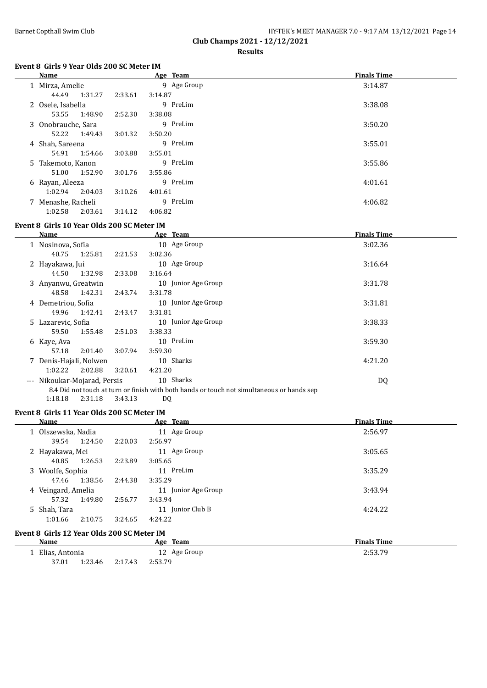|                               | HY-TEK's MEET MANAGER 7.0 - 9:17 AM 13/12/2021 Page 14 |  |
|-------------------------------|--------------------------------------------------------|--|
| Club Champs 2021 - 12/12/2021 |                                                        |  |

**Results**

# **Event 8 Girls 9 Year Olds 200 SC Meter IM**

| Name               |         | Age Team    | <b>Finals Time</b> |
|--------------------|---------|-------------|--------------------|
| 1 Mirza, Amelie    |         | 9 Age Group | 3:14.87            |
| 44.49<br>1:31.27   | 2:33.61 | 3:14.87     |                    |
| 2 Osele, Isabella  |         | 9 PreLim    | 3:38.08            |
| 1:48.90<br>53.55   | 2:52.30 | 3:38.08     |                    |
| 3 Onobrauche, Sara |         | 9 PreLim    | 3:50.20            |
| 1:49.43<br>52.22   | 3:01.32 | 3:50.20     |                    |
| 4 Shah, Sareena    |         | 9 PreLim    | 3:55.01            |
| 1:54.66<br>54.91   | 3:03.88 | 3:55.01     |                    |
| 5 Takemoto, Kanon  |         | 9 PreLim    | 3:55.86            |
| 1:52.90<br>51.00   | 3:01.76 | 3:55.86     |                    |
| 6 Rayan, Aleeza    |         | 9 PreLim    | 4:01.61            |
| 1:02.94<br>2:04.03 | 3:10.26 | 4:01.61     |                    |
| 7 Menashe, Racheli |         | 9 PreLim    | 4:06.82            |
| 1:02.58<br>2:03.61 | 3:14.12 | 4:06.82     |                    |

# **Event 8 Girls 10 Year Olds 200 SC Meter IM**

| Name                         |         | Age Team                                                                                   | <b>Finals Time</b> |  |
|------------------------------|---------|--------------------------------------------------------------------------------------------|--------------------|--|
| 1 Nosinova, Sofia            |         | 10 Age Group                                                                               | 3:02.36            |  |
| 1:25.81<br>40.75             | 2:21.53 | 3:02.36                                                                                    |                    |  |
| 2 Hayakawa, Jui              |         | 10 Age Group                                                                               | 3:16.64            |  |
| 1:32.98<br>44.50             | 2:33.08 | 3:16.64                                                                                    |                    |  |
| 3 Anyanwu, Greatwin          |         | 10 Junior Age Group                                                                        | 3:31.78            |  |
| 1:42.31<br>48.58             | 2:43.74 | 3:31.78                                                                                    |                    |  |
| 4 Demetriou, Sofia           |         | 10 Junior Age Group                                                                        | 3:31.81            |  |
| 1:42.41<br>49.96             | 2:43.47 | 3:31.81                                                                                    |                    |  |
| 5 Lazarevic, Sofia           |         | 10 Junior Age Group                                                                        | 3:38.33            |  |
| 1:55.48<br>59.50             | 2:51.03 | 3:38.33                                                                                    |                    |  |
| 6 Kaye, Ava                  |         | 10 PreLim                                                                                  | 3:59.30            |  |
| 2:01.40<br>57.18             | 3:07.94 | 3:59.30                                                                                    |                    |  |
| 7 Denis-Hajali, Nolwen       |         | 10 Sharks                                                                                  | 4:21.20            |  |
| 1:02.22<br>2:02.88           | 3:20.61 | 4:21.20                                                                                    |                    |  |
| --- Nikoukar-Mojarad, Persis |         | 10 Sharks                                                                                  | DQ                 |  |
|                              |         | 8.4 Did not touch at turn or finish with both hands or touch not simultaneous or hands sep |                    |  |

1:18.18 2:31.18 3:43.13 DQ

#### **Event 8 Girls 11 Year Olds 200 SC Meter IM**

| <b>Name</b>                                |         | Age Team               | <b>Finals Time</b> |
|--------------------------------------------|---------|------------------------|--------------------|
| 1 Olszewska, Nadia                         |         | 11 Age Group           | 2:56.97            |
| 1:24.50<br>39.54                           | 2:20.03 | 2:56.97                |                    |
| 2 Hayakawa, Mei                            |         | 11 Age Group           | 3:05.65            |
| 1:26.53<br>40.85                           | 2:23.89 | 3:05.65                |                    |
| 3 Woolfe, Sophia                           |         | 11 PreLim              | 3:35.29            |
| 1:38.56<br>47.46                           | 2:44.38 | 3:35.29                |                    |
| 4 Veingard, Amelia                         |         | Junior Age Group<br>11 | 3:43.94            |
| 1:49.80<br>57.32                           | 2:56.77 | 3:43.94                |                    |
| 5 Shah, Tara                               |         | Junior Club B<br>11    | 4:24.22            |
| 1:01.66<br>2:10.75                         | 3:24.65 | 4:24.22                |                    |
| Event 8 Girls 12 Year Olds 200 SC Meter IM |         |                        |                    |
| Name                                       |         | Age Team               | <b>Finals Time</b> |

|                |         |                | $  -$<br>------ |                    |
|----------------|---------|----------------|-----------------|--------------------|
| Elias, Antonia |         | Age Group<br>ᅭ |                 | 2.52 70<br>2:53.75 |
| 37.01          | 1:23.46 | 2:17.43        | 2:53.79         |                    |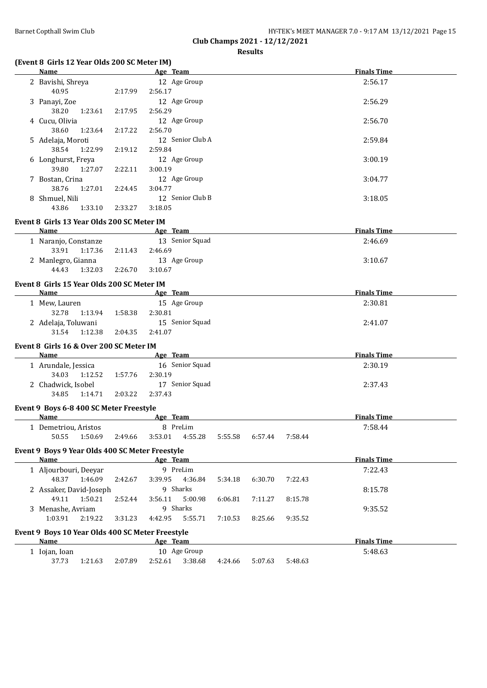# **(Event 8 Girls 12 Year Olds 200 SC Meter IM)**

| Name               |         | Age Team         | <b>Finals Time</b> |
|--------------------|---------|------------------|--------------------|
| 2 Bavishi, Shreya  |         | 12 Age Group     | 2:56.17            |
| 40.95              | 2:17.99 | 2:56.17          |                    |
| 3 Panayi, Zoe      |         | 12 Age Group     | 2:56.29            |
| 1:23.61<br>38.20   | 2:17.95 | 2:56.29          |                    |
| 4 Cucu, Olivia     |         | 12 Age Group     | 2:56.70            |
| 1:23.64<br>38.60   | 2:17.22 | 2:56.70          |                    |
| 5 Adelaja, Moroti  |         | 12 Senior Club A | 2:59.84            |
| 1:22.99<br>38.54   | 2:19.12 | 2:59.84          |                    |
| 6 Longhurst, Freya |         | 12 Age Group     | 3:00.19            |
| 1:27.07<br>39.80   | 2:22.11 | 3:00.19          |                    |
| 7 Bostan, Crina    |         | 12 Age Group     | 3:04.77            |
| 1:27.01<br>38.76   | 2:24.45 | 3:04.77          |                    |
| 8 Shmuel, Nili     |         | 12 Senior Club B | 3:18.05            |
| 1:33.10<br>43.86   | 2:33.27 | 3:18.05          |                    |

#### **Event 8 Girls 13 Year Olds 200 SC Meter IM**

| Name                 | Age Team           | <b>Finals Time</b> |
|----------------------|--------------------|--------------------|
| 1 Naranjo, Constanze | 13 Senior Squad    | 2:46.69            |
| 1:17.36<br>33.91     | 2:11.43<br>2:46.69 |                    |
| 2 Manlegro, Gianna   | 13 Age Group       | 3:10.67            |
| 1:32.03<br>44.43     | 2:26.70<br>3:10.67 |                    |

#### **Event 8 Girls 15 Year Olds 200 SC Meter IM**

| Name                                                                                                            | Age Team           | <b>Finals Time</b>                                                    |
|-----------------------------------------------------------------------------------------------------------------|--------------------|-----------------------------------------------------------------------|
| 1 Mew, Lauren                                                                                                   | 15 Age Group       | 2:30.81                                                               |
| 1:13.94<br>32.78                                                                                                | 2:30.81<br>1:58.38 |                                                                       |
| 2 Adelaja, Toluwani                                                                                             | 15 Senior Squad    | 2:41.07                                                               |
| 1:12.38<br>31.54                                                                                                | 2:04.35<br>2:41.07 |                                                                       |
| Event 8 Girls 16 & Over 200 SC Meter IM                                                                         |                    |                                                                       |
| The contract of the contract of the contract of the contract of the contract of the contract of the contract of |                    | $\mathbf{m}$ . The state of $\mathbf{m}$ is the state of $\mathbf{m}$ |

| Name               |         |         | Age Team        | <b>Finals Time</b> |
|--------------------|---------|---------|-----------------|--------------------|
| Arundale, Jessica  |         |         | 16 Senior Squad | 2:30.19            |
| 34.03              | 1:12.52 | 1:57.76 | 2:30.19         |                    |
| 2 Chadwick, Isobel |         |         | 17 Senior Squad | 2:37.43            |
| 34.85              | 1:14.71 | 2:03.22 | 2:37.43         |                    |

#### **Event 9 Boys 6-8 400 SC Meter Freestyle**

| Name               |         |         | Age     | <b>Team</b> |         |         |         | <b>Finals Time</b> |
|--------------------|---------|---------|---------|-------------|---------|---------|---------|--------------------|
| Demetriou, Aristos |         |         |         | PreLim      |         |         |         | 7:58.44            |
| 50.55              | 1:50.69 | 2:49.66 | 3:53.01 | 4:55.28     | 5:55.58 | 6:57.44 | 7:58.44 |                    |

#### **Event 9 Boys 9 Year Olds 400 SC Meter Freestyle**

| Name          |                                                  |         | Age Team |           |         |         |         | <b>Finals Time</b> |  |
|---------------|--------------------------------------------------|---------|----------|-----------|---------|---------|---------|--------------------|--|
|               | 1 Aljourbouri, Deeyar                            |         |          | 9 PreLim  |         |         |         | 7:22.43            |  |
|               | 48.37<br>1:46.09                                 | 2:42.67 | 3:39.95  | 4:36.84   | 5:34.18 | 6:30.70 | 7:22.43 |                    |  |
|               | 2 Assaker, David-Joseph                          |         |          | 9 Sharks  |         |         |         | 8:15.78            |  |
|               | 1:50.21<br>49.11                                 | 2:52.44 | 3:56.11  | 5:00.98   | 6:06.81 | 7:11.27 | 8:15.78 |                    |  |
|               | 3 Menashe, Avriam                                |         |          | 9 Sharks  |         |         |         | 9:35.52            |  |
|               | 2:19.22<br>1:03.91                               | 3:31.23 | 4:42.95  | 5:55.71   | 7:10.53 | 8:25.66 | 9:35.52 |                    |  |
|               | Event 9 Boys 10 Year Olds 400 SC Meter Freestyle |         |          |           |         |         |         |                    |  |
| Name          |                                                  |         | Age Team |           |         |         |         | <b>Finals Time</b> |  |
| 1 Iojan, Ioan |                                                  |         | 10       | Age Group |         |         |         | 5:48.63            |  |
|               | 37.73<br>1:21.63                                 | 2:07.89 | 2:52.61  | 3:38.68   | 4:24.66 | 5:07.63 | 5:48.63 |                    |  |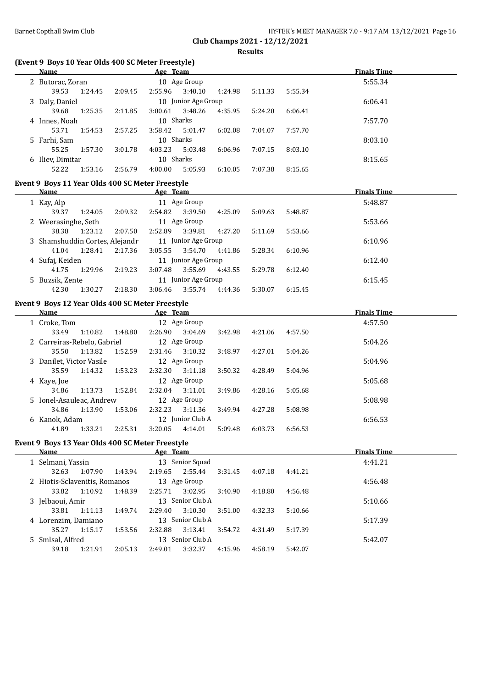| Barnet Copthall Swim Club | HY-TEK's MEET MANAGER 7.0 - 9:17 AM 13/12/2021 Page 16 |
|---------------------------|--------------------------------------------------------|
|                           | Club Champs 2021 - 12/12/2021                          |

**Results**

# **(Event 9 Boys 10 Year Olds 400 SC Meter Freestyle)**

| <b>Name</b>                                      |         | Age Team  |                     |         |         |         | <b>Finals Time</b> |
|--------------------------------------------------|---------|-----------|---------------------|---------|---------|---------|--------------------|
| 2 Butorac, Zoran                                 |         |           | 10 Age Group        |         |         |         | 5:55.34            |
| 39.53<br>1:24.45                                 | 2:09.45 | 2:55.96   | 3:40.10             | 4:24.98 | 5:11.33 | 5:55.34 |                    |
| 3 Daly, Daniel                                   |         |           | 10 Junior Age Group |         |         |         | 6:06.41            |
| 39.68<br>1:25.35                                 | 2:11.85 | 3:00.61   | 3:48.26             | 4:35.95 | 5:24.20 | 6:06.41 |                    |
| 4 Innes, Noah                                    |         | 10 Sharks |                     |         |         |         | 7:57.70            |
| 53.71<br>1:54.53                                 | 2:57.25 | 3:58.42   | 5:01.47             | 6:02.08 | 7:04.07 | 7:57.70 |                    |
| 5 Farhi, Sam                                     |         | 10 Sharks |                     |         |         |         | 8:03.10            |
| 55.25<br>1:57.30                                 | 3:01.78 | 4:03.23   | 5:03.48             | 6:06.96 | 7:07.15 | 8:03.10 |                    |
| 6 Iliev, Dimitar                                 |         | 10 Sharks |                     |         |         |         | 8:15.65            |
| 52.22<br>1:53.16                                 | 2:56.79 | 4:00.00   | 5:05.93             | 6:10.05 | 7:07.38 | 8:15.65 |                    |
|                                                  |         |           |                     |         |         |         |                    |
| Event 9 Boys 11 Year Olds 400 SC Meter Freestyle |         |           |                     |         |         |         |                    |
| <b>Name</b>                                      |         | Age Team  |                     |         |         |         | <b>Finals Time</b> |
| 1 Kay, Alp                                       |         |           | 11 Age Group        |         |         |         | 5:48.87            |
| 39.37<br>1:24.05                                 | 2:09.32 | 2:54.82   | 3:39.50             | 4:25.09 | 5:09.63 | 5:48.87 |                    |
| 2 Weerasinghe, Seth                              |         |           | 11 Age Group        |         |         |         | 5:53.66            |
| 38.38<br>1:23.12                                 | 2:07.50 | 2:52.89   | 3:39.81             | 4:27.20 | 5:11.69 | 5:53.66 |                    |
| 3 Shamshuddin Cortes, Alejandr                   |         |           | 11 Junior Age Group |         |         |         | 6:10.96            |
| 41.04<br>1:28.41                                 | 2:17.36 | 3:05.55   | 3:54.70             | 4:41.86 | 5:28.34 | 6:10.96 |                    |
| 4 Sufaj, Keiden                                  |         |           | 11 Junior Age Group |         |         |         | 6:12.40            |
| 41.75<br>1:29.96                                 | 2:19.23 | 3:07.48   | 3:55.69             | 4:43.55 | 5:29.78 | 6:12.40 |                    |
| 5 Buzsik, Zente                                  |         |           | 11 Junior Age Group |         |         |         | 6:15.45            |
| 42.30<br>1:30.27                                 | 2:18.30 | 3:06.46   | 3:55.74             | 4:44.36 | 5:30.07 | 6:15.45 |                    |
| Event 9 Boys 12 Year Olds 400 SC Meter Freestyle |         |           |                     |         |         |         |                    |
| Name                                             |         | Age Team  |                     |         |         |         | <b>Finals Time</b> |
| 1 Croke, Tom                                     |         |           | 12 Age Group        |         |         |         | 4:57.50            |
| 33.49<br>1:10.82                                 | 1:48.80 | 2:26.90   | 3:04.69             | 3:42.98 | 4:21.06 | 4:57.50 |                    |
| 2 Carreiras-Rebelo, Gabriel                      |         |           | 12 Age Group        |         |         |         | 5:04.26            |
| 35.50<br>1:13.82                                 | 1:52.59 | 2:31.46   | 3:10.32             | 3:48.97 | 4:27.01 | 5:04.26 |                    |
| 3 Danilet, Victor Vasile                         |         |           | 12 Age Group        |         |         |         | 5:04.96            |
| 35.59<br>1:14.32                                 | 1:53.23 | 2:32.30   | 3:11.18             | 3:50.32 | 4:28.49 | 5:04.96 |                    |
| 4 Kaye, Joe                                      |         |           | 12 Age Group        |         |         |         | 5:05.68            |
| 34.86<br>1:13.73                                 | 1:52.84 | 2:32.04   | 3:11.01             | 3:49.86 | 4:28.16 | 5:05.68 |                    |
| 5 Ionel-Asauleac, Andrew                         |         |           | 12 Age Group        |         |         |         | 5:08.98            |
| 34.86<br>1:13.90                                 | 1:53.06 | 2:32.23   | 3:11.36             | 3:49.94 | 4:27.28 | 5:08.98 |                    |
| 6 Kanok, Adam                                    |         |           | 12 Junior Club A    |         |         |         | 6:56.53            |
| 41.89<br>1:33.21                                 | 2:25.31 | 3:20.05   | 4:14.01             | 5:09.48 | 6:03.73 | 6:56.53 |                    |
|                                                  |         |           |                     |         |         |         |                    |
| Event 9 Boys 13 Year Olds 400 SC Meter Freestyle |         |           |                     |         |         |         |                    |
| <b>Name</b>                                      |         | Age Team  |                     |         |         |         | <b>Finals Time</b> |
| 1 Selmani, Yassin                                |         |           | 13 Senior Squad     |         |         |         | 4:41.21            |
| 32.63<br>1:07.90                                 | 1:43.94 | 2:19.65   | 2:55.44             | 3:31.45 | 4:07.18 | 4:41.21 |                    |
| 2 Hiotis-Sclavenitis, Romanos                    |         |           | 13 Age Group        |         |         |         | 4:56.48            |
| 33.82<br>1:10.92                                 | 1:48.39 | 2:25.71   | 3:02.95             | 3:40.90 | 4:18.80 | 4:56.48 |                    |
| 3 Jelbaoui, Amir                                 |         |           | 13 Senior Club A    |         |         |         | 5:10.66            |
| 33.81<br>1:11.13                                 | 1:49.74 | 2:29.40   | 3:10.30             | 3:51.00 | 4:32.33 | 5:10.66 |                    |
| 4 Lorenzim, Damiano                              |         |           | 13 Senior Club A    |         |         |         | 5:17.39            |
| 35.27<br>1:15.17                                 | 1:53.56 | 2:32.88   | 3:13.41             | 3:54.72 | 4:31.49 | 5:17.39 |                    |
| 5 Smlsal, Alfred                                 |         |           | 13 Senior Club A    |         |         |         | 5:42.07            |
| 39.18<br>1:21.91                                 | 2:05.13 | 2:49.01   | 3:32.37             | 4:15.96 | 4:58.19 | 5:42.07 |                    |
|                                                  |         |           |                     |         |         |         |                    |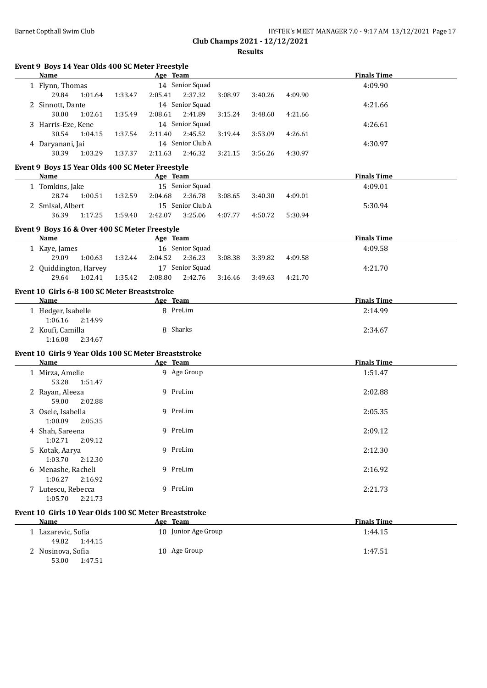**Event 9 Boys 14 Year Olds 400 SC Meter Freestyle**

53.00 1:47.51

| Barnet Copthall Swim Club | HY-TEK's MEET MANAGER 7.0 - 9:17 AM 13/12/2021 Page 17 |
|---------------------------|--------------------------------------------------------|
|                           | Club Champs 2021 - 12/12/2021                          |

**Results**

| Name                                                  |         |         | Age Team            |         |         |         | <b>Finals Time</b> |  |
|-------------------------------------------------------|---------|---------|---------------------|---------|---------|---------|--------------------|--|
| 1 Flynn, Thomas                                       |         |         | 14 Senior Squad     |         |         |         | 4:09.90            |  |
| 29.84<br>1:01.64                                      | 1:33.47 | 2:05.41 | 2:37.32             | 3:08.97 | 3:40.26 | 4:09.90 |                    |  |
| 2 Sinnott, Dante                                      |         |         | 14 Senior Squad     |         |         |         | 4:21.66            |  |
| 30.00<br>1:02.61                                      | 1:35.49 | 2:08.61 | 2:41.89             | 3:15.24 | 3:48.60 | 4:21.66 |                    |  |
| 3 Harris-Eze, Kene                                    |         |         | 14 Senior Squad     |         |         |         | 4:26.61            |  |
| 30.54<br>1:04.15                                      | 1:37.54 | 2:11.40 | 2:45.52             | 3:19.44 | 3:53.09 | 4:26.61 |                    |  |
| 4 Daryanani, Jai                                      |         |         | 14 Senior Club A    |         |         |         | 4:30.97            |  |
| 30.39<br>1:03.29                                      | 1:37.37 | 2:11.63 | 2:46.32             | 3:21.15 | 3:56.26 | 4:30.97 |                    |  |
|                                                       |         |         |                     |         |         |         |                    |  |
| Event 9 Boys 15 Year Olds 400 SC Meter Freestyle      |         |         |                     |         |         |         |                    |  |
| Name                                                  |         |         | Age Team            |         |         |         | <b>Finals Time</b> |  |
| 1 Tomkins, Jake                                       |         |         | 15 Senior Squad     |         |         |         | 4:09.01            |  |
| 28.74<br>1:00.51                                      | 1:32.59 | 2:04.68 | 2:36.78             | 3:08.65 | 3:40.30 | 4:09.01 |                    |  |
| 2 Smlsal, Albert                                      |         |         | 15 Senior Club A    |         |         |         | 5:30.94            |  |
| 36.39<br>1:17.25                                      | 1:59.40 | 2:42.07 | 3:25.06             | 4:07.77 | 4:50.72 | 5:30.94 |                    |  |
| Event 9 Boys 16 & Over 400 SC Meter Freestyle         |         |         |                     |         |         |         |                    |  |
| <b>Name</b>                                           |         |         | Age Team            |         |         |         | <b>Finals Time</b> |  |
| 1 Kaye, James                                         |         |         | 16 Senior Squad     |         |         |         | 4:09.58            |  |
| 29.09<br>1:00.63                                      | 1:32.44 | 2:04.52 | 2:36.23             | 3:08.38 | 3:39.82 | 4:09.58 |                    |  |
| 2 Quiddington, Harvey                                 |         |         | 17 Senior Squad     |         |         |         | 4:21.70            |  |
| 29.64<br>1:02.41                                      | 1:35.42 | 2:08.80 | 2:42.76             | 3:16.46 | 3:49.63 | 4:21.70 |                    |  |
|                                                       |         |         |                     |         |         |         |                    |  |
| Event 10 Girls 6-8 100 SC Meter Breaststroke          |         |         |                     |         |         |         | <b>Finals Time</b> |  |
| Name                                                  |         |         | Age Team            |         |         |         |                    |  |
| 1 Hedger, Isabelle                                    |         |         | 8 PreLim            |         |         |         | 2:14.99            |  |
| 1:06.16<br>2:14.99                                    |         |         |                     |         |         |         |                    |  |
| 2 Koufi, Camilla                                      |         |         | 8 Sharks            |         |         |         | 2:34.67            |  |
| 1:16.08<br>2:34.67                                    |         |         |                     |         |         |         |                    |  |
| Event 10 Girls 9 Year Olds 100 SC Meter Breaststroke  |         |         |                     |         |         |         |                    |  |
| <b>Name</b>                                           |         |         | Age Team            |         |         |         | <b>Finals Time</b> |  |
| 1 Mirza, Amelie                                       |         |         | 9 Age Group         |         |         |         | 1:51.47            |  |
| 53.28<br>1:51.47                                      |         |         |                     |         |         |         |                    |  |
| 2 Rayan, Aleeza                                       |         |         | 9 PreLim            |         |         |         | 2:02.88            |  |
| 59.00<br>2:02.88                                      |         |         |                     |         |         |         |                    |  |
| 3 Osele, Isabella                                     |         |         | 9 PreLim            |         |         |         | 2:05.35            |  |
| 1:00.09<br>2:05.35                                    |         |         |                     |         |         |         |                    |  |
| 4 Shah, Sareena                                       |         |         | 9 PreLim            |         |         |         | 2:09.12            |  |
| $1:02.71$ $2:09.12$                                   |         |         |                     |         |         |         |                    |  |
| 5 Kotak, Aarya                                        |         |         | 9 PreLim            |         |         |         | 2:12.30            |  |
| 1:03.70<br>2:12.30                                    |         |         |                     |         |         |         |                    |  |
| 6 Menashe, Racheli                                    |         |         | 9 PreLim            |         |         |         | 2:16.92            |  |
| 1:06.27<br>2:16.92                                    |         |         |                     |         |         |         |                    |  |
| 7 Lutescu, Rebecca                                    |         |         | 9 PreLim            |         |         |         | 2:21.73            |  |
| 1:05.70<br>2:21.73                                    |         |         |                     |         |         |         |                    |  |
|                                                       |         |         |                     |         |         |         |                    |  |
| Event 10 Girls 10 Year Olds 100 SC Meter Breaststroke |         |         |                     |         |         |         |                    |  |
| Name                                                  |         |         | Age Team            |         |         |         | <b>Finals Time</b> |  |
| 1 Lazarevic, Sofia<br>49.82<br>1:44.15                |         |         | 10 Junior Age Group |         |         |         | 1:44.15            |  |
| 2 Nosinova, Sofia                                     |         |         | 10 Age Group        |         |         |         | 1:47.51            |  |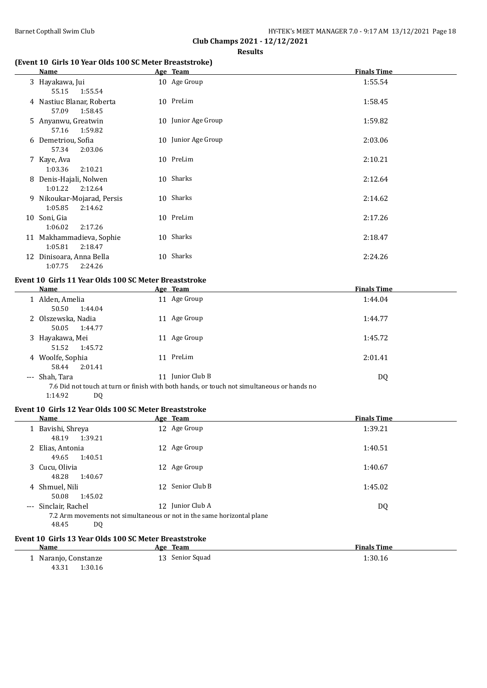# **(Event 10 Girls 10 Year Olds 100 SC Meter Breaststroke)**

| <b>Name</b>                                                       | Age Team            | <b>Finals Time</b> |
|-------------------------------------------------------------------|---------------------|--------------------|
| 3 Hayakawa, Jui                                                   | 10 Age Group        | 1:55.54            |
| 55.15<br>1:55.54<br>4 Nastiuc Blanar, Roberta<br>57.09<br>1:58.45 | 10 PreLim           | 1:58.45            |
| 5 Anyanwu, Greatwin<br>1:59.82<br>57.16                           | 10 Junior Age Group | 1:59.82            |
| 6 Demetriou, Sofia<br>57.34<br>2:03.06                            | 10 Junior Age Group | 2:03.06            |
| 7 Kaye, Ava<br>1:03.36<br>2:10.21                                 | 10 PreLim           | 2:10.21            |
| 8 Denis-Hajali, Nolwen<br>1:01.22<br>2:12.64                      | 10 Sharks           | 2:12.64            |
| 9 Nikoukar-Mojarad, Persis<br>1:05.85<br>2:14.62                  | 10 Sharks           | 2:14.62            |
| 10 Soni, Gia<br>1:06.02<br>2:17.26                                | 10 PreLim           | 2:17.26            |
| 11 Makhammadieva, Sophie<br>1:05.81<br>2:18.47                    | 10 Sharks           | 2:18.47            |
| 12 Dinisoara, Anna Bella<br>1:07.75<br>2:24.26                    | 10 Sharks           | 2:24.26            |

## **Event 10 Girls 11 Year Olds 100 SC Meter Breaststroke**

| Name                                 | <u>Age Team</u>                                                                                               | <b>Finals Time</b> |
|--------------------------------------|---------------------------------------------------------------------------------------------------------------|--------------------|
| 1 Alden, Amelia<br>50.50<br>1:44.04  | 11 Age Group                                                                                                  | 1:44.04            |
| 2 Olszewska, Nadia<br>50.05 1:44.77  | 11 Age Group                                                                                                  | 1:44.77            |
| 3 Hayakawa, Mei<br>51.52 1:45.72     | 11 Age Group                                                                                                  | 1:45.72            |
| 4 Woolfe, Sophia<br>2:01.41<br>58.44 | 11 PreLim                                                                                                     | 2:01.41            |
| --- Shah, Tara                       | 11 Junior Club B<br>76 Did not touch at turn or finish with both hands, or touch not simultaneous or hands no | DQ                 |

7.6 Did not touch at turn or finish with both hands, or touch not simultaneous or hands no 1:14.92 DQ

## **Event 10 Girls 12 Year Olds 100 SC Meter Breaststroke**

| Name                                                                                                          | Age Team         | <b>Finals Time</b> |
|---------------------------------------------------------------------------------------------------------------|------------------|--------------------|
| 1 Bavishi, Shreya<br>48.19<br>1:39.21                                                                         | 12 Age Group     | 1:39.21            |
| 2 Elias, Antonia<br>49.65<br>1:40.51                                                                          | 12 Age Group     | 1:40.51            |
| 3 Cucu, Olivia<br>48.28<br>1:40.67                                                                            | 12 Age Group     | 1:40.67            |
| 4 Shmuel, Nili<br>1:45.02<br>50.08                                                                            | 12 Senior Club B | 1:45.02            |
| --- Sinclair, Rachel<br>7.2 Arm movements not simultaneous or not in the same horizontal plane<br>48.45<br>DQ | 12 Junior Club A | DQ                 |
|                                                                                                               |                  |                    |

#### **Event 10 Girls 13 Year Olds 100 SC Meter Breaststroke**

| <b>Name</b>          | <u>Age Team</u> | <b>Finals Time</b> |
|----------------------|-----------------|--------------------|
| 1 Naranjo, Constanze | 13 Senior Squad | 1:30.16            |
| 1:30.16<br>43.31     |                 |                    |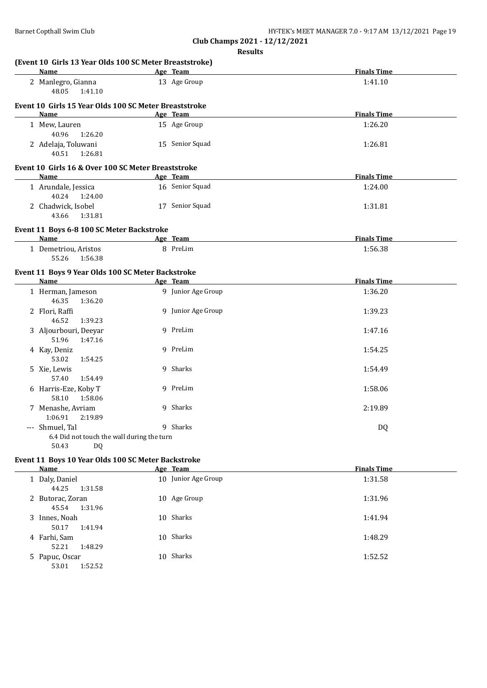52.21 1:48.29

53.01 1:52.52

**Club Champs 2021 - 12/12/2021 Results**

| Name                                                              | Age Team            | <b>Finals Time</b> |
|-------------------------------------------------------------------|---------------------|--------------------|
| 2 Manlegro, Gianna<br>48.05<br>1:41.10                            | 13 Age Group        | 1:41.10            |
| Event 10 Girls 15 Year Olds 100 SC Meter Breaststroke             |                     |                    |
| Name                                                              | Age Team            | <b>Finals Time</b> |
| 1 Mew, Lauren                                                     | 15 Age Group        | 1:26.20            |
| 40.96<br>1:26.20                                                  |                     |                    |
| 2 Adelaja, Toluwani<br>40.51<br>1:26.81                           | 15 Senior Squad     | 1:26.81            |
| Event 10 Girls 16 & Over 100 SC Meter Breaststroke                |                     |                    |
| Name                                                              | Age Team            | <b>Finals Time</b> |
| 1 Arundale, Jessica<br>40.24<br>1:24.00                           | 16 Senior Squad     | 1:24.00            |
| 2 Chadwick, Isobel<br>43.66<br>1:31.81                            | 17 Senior Squad     | 1:31.81            |
| Event 11 Boys 6-8 100 SC Meter Backstroke                         |                     |                    |
| Name                                                              | Age Team            | <b>Finals Time</b> |
| 1 Demetriou, Aristos<br>55.26<br>1:56.38                          | 8 PreLim            | 1:56.38            |
| Event 11 Boys 9 Year Olds 100 SC Meter Backstroke                 |                     |                    |
| Name                                                              | Age Team            | <b>Finals Time</b> |
| 1 Herman, Jameson<br>46.35<br>1:36.20                             | 9 Junior Age Group  | 1:36.20            |
| 2 Flori, Raffi<br>46.52<br>1:39.23                                | 9 Junior Age Group  | 1:39.23            |
| 3 Aljourbouri, Deeyar<br>51.96<br>1:47.16                         | 9 PreLim            | 1:47.16            |
| 4 Kay, Deniz<br>53.02                                             | 9 PreLim            | 1:54.25            |
| 1:54.25<br>5 Xie, Lewis                                           | 9 Sharks            | 1:54.49            |
| 57.40<br>1:54.49                                                  |                     |                    |
| 6 Harris-Eze, Koby T<br>58.10<br>1:58.06                          | 9 PreLim            | 1:58.06            |
| 7 Menashe, Avriam<br>1:06.91<br>2:19.89                           | 9 Sharks            | 2:19.89            |
| --- Shmuel, Tal                                                   | 9 Sharks            | DQ                 |
| 6.4 Did not touch the wall during the turn                        |                     |                    |
| 50.43<br>DQ                                                       |                     |                    |
| Event 11 Boys 10 Year Olds 100 SC Meter Backstroke<br><b>Name</b> | Age Team            | <b>Finals Time</b> |
|                                                                   |                     | 1:31.58            |
|                                                                   |                     |                    |
| 1 Daly, Daniel<br>44.25<br>1:31.58                                | 10 Junior Age Group |                    |
| 2 Butorac, Zoran<br>45.54<br>1:31.96                              | 10 Age Group        | 1:31.96            |

4 Farhi, Sam 10 Sharks 1:48.29

5 Papuc, Oscar 10 Sharks 1:52.52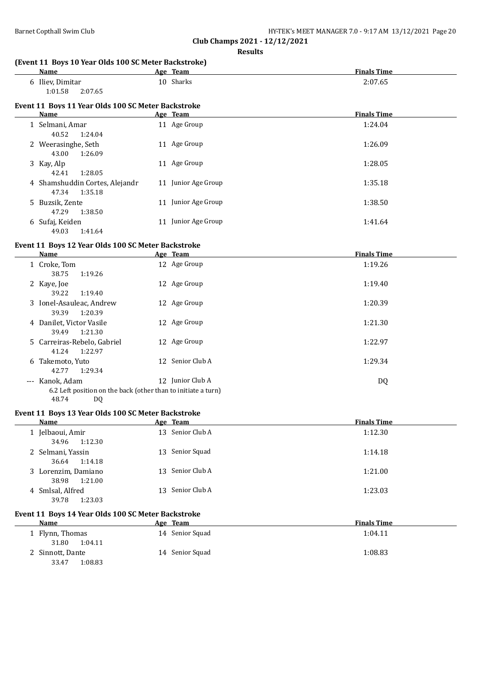1:01.58 2:07.65

**(Event 11 Boys 10 Year Olds 100 SC Meter Backstroke)**

**Event 11 Boys 11 Year Olds 100 SC Meter Backstroke**

**Club Champs 2021 - 12/12/2021 Results**

**Age Team Age Team Finals Time** 6 Iliev, Dimitar 10 Sharks 2:07.65

| Name                                                                                                                               | Age Team            | <b>Finals Time</b> |
|------------------------------------------------------------------------------------------------------------------------------------|---------------------|--------------------|
| 1 Selmani, Amar<br>40.52<br>1:24.04                                                                                                | 11 Age Group        | 1:24.04            |
| 2 Weerasinghe, Seth<br>43.00<br>1:26.09                                                                                            | 11 Age Group        | 1:26.09            |
| 3 Kay, Alp<br>42.41<br>1:28.05                                                                                                     | 11 Age Group        | 1:28.05            |
| 4 Shamshuddin Cortes, Alejandr<br>47.34<br>1:35.18                                                                                 | 11 Junior Age Group | 1:35.18            |
| 5 Buzsik, Zente<br>47.29<br>1:38.50                                                                                                | 11 Junior Age Group | 1:38.50            |
| 6 Sufaj, Keiden<br>49.03<br>1:41.64                                                                                                | 11 Junior Age Group | 1:41.64            |
| Event 11 Boys 12 Year Olds 100 SC Meter Backstroke                                                                                 |                     |                    |
| <b>Name</b>                                                                                                                        | Age Team            | <b>Finals Time</b> |
| 1 Croke, Tom<br>38.75<br>1:19.26                                                                                                   | 12 Age Group        | 1:19.26            |
| 2 Kaye, Joe<br>39.22<br>1:19.40                                                                                                    | 12 Age Group        | 1:19.40            |
| 3 Ionel-Asauleac, Andrew<br>39.39<br>1:20.39                                                                                       | 12 Age Group        | 1:20.39            |
| 4 Danilet, Victor Vasile<br>39.49<br>1:21.30                                                                                       | 12 Age Group        | 1:21.30            |
| 5 Carreiras-Rebelo, Gabriel<br>41.24<br>1:22.97                                                                                    | 12 Age Group        | 1:22.97            |
| 6 Takemoto, Yuto<br>42.77<br>1:29.34                                                                                               | 12 Senior Club A    | 1:29.34            |
| --- Kanok, Adam                                                                                                                    | 12 Junior Club A    | <b>DQ</b>          |
| 6.2 Left position on the back (other than to initiate a turn)<br>48.74<br>DQ<br>Event 11 Boys 13 Year Olds 100 SC Meter Backstroke |                     |                    |
| Name                                                                                                                               | Age Team            | <b>Finals Time</b> |
| 1 Jelbaoui, Amir<br>34.96<br>1:12.30                                                                                               | 13 Senior Club A    | 1:12.30            |
| 2 Selmani, Yassin<br>36.64<br>1:14.18                                                                                              | 13 Senior Squad     | 1:14.18            |
| 3 Lorenzim, Damiano<br>38.98<br>1:21.00                                                                                            | 13 Senior Club A    | 1:21.00            |
| 4 Smlsal, Alfred<br>39.78<br>1:23.03                                                                                               | 13 Senior Club A    | 1:23.03            |
| Event 11 Boys 14 Year Olds 100 SC Meter Backstroke<br><b>Name</b>                                                                  | Age Team            | <b>Finals Time</b> |
|                                                                                                                                    | 14 Senior Squad     |                    |
| 1 Flynn, Thomas<br>31.80<br>1:04.11                                                                                                |                     | 1:04.11            |

2 Sinnott, Dante 14 Senior Squad 1:08.83

33.47 1:08.83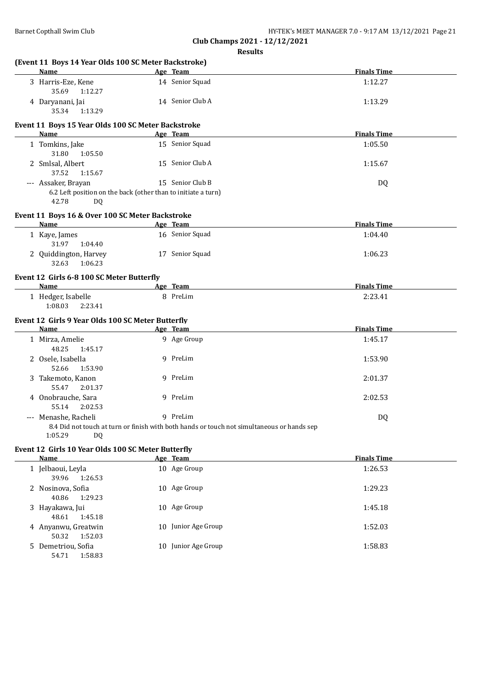|   | (Event 11 Boys 14 Year Olds 100 SC Meter Backstroke)<br>Name                 | Age Team                                                                                   | <b>Finals Time</b> |
|---|------------------------------------------------------------------------------|--------------------------------------------------------------------------------------------|--------------------|
|   | 3 Harris-Eze, Kene                                                           | 14 Senior Squad                                                                            | 1:12.27            |
|   | 35.69<br>1:12.27                                                             |                                                                                            |                    |
|   | 4 Daryanani, Jai<br>35.34<br>1:13.29                                         | 14 Senior Club A                                                                           | 1:13.29            |
|   | Event 11 Boys 15 Year Olds 100 SC Meter Backstroke<br>Name                   | Age Team                                                                                   | <b>Finals Time</b> |
|   | 1 Tomkins, Jake                                                              | 15 Senior Squad                                                                            | 1:05.50            |
|   | 31.80<br>1:05.50                                                             |                                                                                            |                    |
|   | 2 Smlsal, Albert<br>37.52<br>1:15.67                                         | 15 Senior Club A                                                                           | 1:15.67            |
|   | --- Assaker, Brayan                                                          | 15 Senior Club B                                                                           | DQ                 |
|   | 6.2 Left position on the back (other than to initiate a turn)<br>42.78<br>DQ |                                                                                            |                    |
|   | Event 11 Boys 16 & Over 100 SC Meter Backstroke                              |                                                                                            |                    |
|   | Name                                                                         | Age Team                                                                                   | <b>Finals Time</b> |
|   | 1 Kaye, James<br>31.97<br>1:04.40                                            | 16 Senior Squad                                                                            | 1:04.40            |
|   | 2 Quiddington, Harvey<br>32.63<br>1:06.23                                    | 17 Senior Squad                                                                            | 1:06.23            |
|   | Event 12 Girls 6-8 100 SC Meter Butterfly                                    |                                                                                            |                    |
|   | <b>Name</b>                                                                  | Age Team                                                                                   | <b>Finals Time</b> |
|   | 1 Hedger, Isabelle<br>1:08.03<br>2:23.41                                     | 8 PreLim                                                                                   | 2:23.41            |
|   | Event 12 Girls 9 Year Olds 100 SC Meter Butterfly                            |                                                                                            |                    |
|   | Name                                                                         | Age Team                                                                                   | <b>Finals Time</b> |
|   | 1 Mirza, Amelie<br>48.25<br>1:45.17                                          | 9 Age Group                                                                                | 1:45.17            |
|   | 2 Osele, Isabella<br>52.66<br>1:53.90                                        | 9 PreLim                                                                                   | 1:53.90            |
|   | 3 Takemoto, Kanon<br>55.47<br>2:01.37                                        | 9 PreLim                                                                                   | 2:01.37            |
|   | 4 Onobrauche, Sara<br>55.14<br>2:02.53                                       | 9 PreLim                                                                                   | 2:02.53            |
|   | --- Menashe, Racheli                                                         | 9 PreLim                                                                                   | <b>DQ</b>          |
|   | 1:05.29<br><b>DQ</b>                                                         | 8.4 Did not touch at turn or finish with both hands or touch not simultaneous or hands sep |                    |
|   | Event 12 Girls 10 Year Olds 100 SC Meter Butterfly<br><b>Name</b>            | Age Team                                                                                   | <b>Finals Time</b> |
|   | 1 Jelbaoui, Leyla<br>39.96<br>1:26.53                                        | 10 Age Group                                                                               | 1:26.53            |
|   | 2 Nosinova, Sofia<br>40.86<br>1:29.23                                        | 10 Age Group                                                                               | 1:29.23            |
| 3 | Hayakawa, Jui<br>48.61<br>1:45.18                                            | 10 Age Group                                                                               | 1:45.18            |
|   | 4 Anyanwu, Greatwin<br>50.32<br>1:52.03                                      | 10 Junior Age Group                                                                        | 1:52.03            |

5 Demetriou, Sofia 10 Junior Age Group 1:58.83 1:58.83 54.71 1:58.83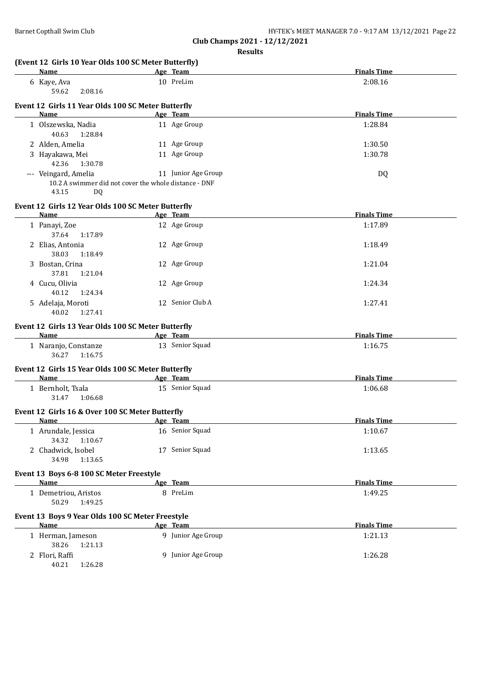| Name                                                     | Age Team                                              | <b>Finals Time</b> |
|----------------------------------------------------------|-------------------------------------------------------|--------------------|
| 6 Kaye, Ava<br>59.62<br>2:08.16                          | 10 PreLim                                             | 2:08.16            |
|                                                          |                                                       |                    |
| Event 12 Girls 11 Year Olds 100 SC Meter Butterfly       |                                                       |                    |
| Name                                                     | Age Team                                              | <b>Finals Time</b> |
| 1 Olszewska, Nadia<br>40.63<br>1:28.84                   | 11 Age Group                                          | 1:28.84            |
| 2 Alden, Amelia                                          | 11 Age Group                                          | 1:30.50            |
| 3 Hayakawa, Mei<br>42.36<br>1:30.78                      | 11 Age Group                                          | 1:30.78            |
| --- Veingard, Amelia                                     | 11 Junior Age Group                                   | <b>DQ</b>          |
| 43.15<br><b>DQ</b>                                       | 10.2 A swimmer did not cover the whole distance - DNF |                    |
| Event 12 Girls 12 Year Olds 100 SC Meter Butterfly       |                                                       |                    |
| <b>Name</b>                                              | Age Team                                              | <b>Finals Time</b> |
| 1 Panayi, Zoe<br>37.64<br>1:17.89                        | 12 Age Group                                          | 1:17.89            |
| 2 Elias, Antonia<br>38.03<br>1:18.49                     | 12 Age Group                                          | 1:18.49            |
| 3 Bostan, Crina<br>37.81<br>1:21.04                      | 12 Age Group                                          | 1:21.04            |
| 4 Cucu, Olivia<br>40.12<br>1:24.34                       | 12 Age Group                                          | 1:24.34            |
| 5 Adelaja, Moroti<br>40.02<br>1:27.41                    | 12 Senior Club A                                      | 1:27.41            |
|                                                          |                                                       |                    |
| Event 12 Girls 13 Year Olds 100 SC Meter Butterfly       |                                                       |                    |
| <b>Name</b>                                              | Age Team                                              | <b>Finals Time</b> |
| 1 Naranjo, Constanze<br>36.27<br>1:16.75                 | 13 Senior Squad                                       | 1:16.75            |
| Event 12 Girls 15 Year Olds 100 SC Meter Butterfly       |                                                       |                    |
| <b>Name</b>                                              | Age Team                                              | <b>Finals Time</b> |
| 1 Bernholt, Tsala<br>31.47<br>1:06.68                    | 15 Senior Squad                                       | 1:06.68            |
| Event 12 Girls 16 & Over 100 SC Meter Butterfly          |                                                       |                    |
| Name                                                     | Age Team                                              | <b>Finals Time</b> |
| 1 Arundale, Jessica<br>34.32<br>1:10.67                  | 16 Senior Squad                                       | 1:10.67            |
| 2 Chadwick, Isobel<br>34.98<br>1:13.65                   | 17 Senior Squad                                       | 1:13.65            |
| Event 13 Boys 6-8 100 SC Meter Freestyle                 |                                                       |                    |
| <b>Name</b>                                              | Age Team                                              | <b>Finals Time</b> |
| 1 Demetriou, Aristos<br>50.29<br>1:49.25                 | 8 PreLim                                              | 1:49.25            |
| Event 13 Boys 9 Year Olds 100 SC Meter Freestyle<br>Name | Age Team                                              | <b>Finals Time</b> |
| 1 Herman, Jameson<br>38.26<br>1:21.13                    | 9 Junior Age Group                                    | 1:21.13            |
| 2 Flori, Raffi<br>40.21<br>1:26.28                       | 9 Junior Age Group                                    | 1:26.28            |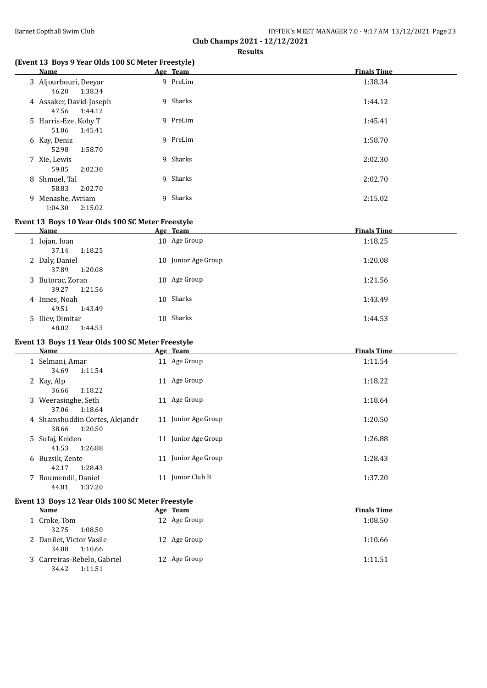| Barnet Copthall Swim Club | HY-TEK's MEET MANAGER 7.0 - 9:17 AM 13/12/2021 Page 23 |
|---------------------------|--------------------------------------------------------|
|                           |                                                        |

#### **(Event 13 Boys 9 Year Olds 100 SC Meter Freestyle)**

| Name                                      | Age Team | <b>Finals Time</b> |
|-------------------------------------------|----------|--------------------|
| 3 Aljourbouri, Deeyar<br>1:38.34<br>46.20 | 9 PreLim | 1:38.34            |
| 4 Assaker, David-Joseph<br>47.56 1:44.12  | 9 Sharks | 1:44.12            |
| 5 Harris-Eze, Koby T<br>1:45.41<br>51.06  | 9 PreLim | 1:45.41            |
| 6 Kay, Deniz<br>1:58.70<br>52.98          | 9 PreLim | 1:58.70            |
| 7 Xie, Lewis<br>2:02.30<br>59.85          | 9 Sharks | 2:02.30            |
| 8 Shmuel, Tal<br>2:02.70<br>58.83         | 9 Sharks | 2:02.70            |
| 9 Menashe, Avriam<br>2:15.02<br>1:04.30   | 9 Sharks | 2:15.02            |

#### **Event 13 Boys 10 Year Olds 100 SC Meter Freestyle**

| Name                                 | Age Team            | <b>Finals Time</b> |
|--------------------------------------|---------------------|--------------------|
| 1 Iojan, Ioan<br>37.14<br>1:18.25    | 10 Age Group        | 1:18.25            |
| 2 Daly, Daniel<br>37.89<br>1:20.08   | 10 Junior Age Group | 1:20.08            |
| 3 Butorac, Zoran<br>39.27<br>1:21.56 | 10 Age Group        | 1:21.56            |
| 4 Innes, Noah<br>1:43.49<br>49.51    | 10 Sharks           | 1:43.49            |
| 5 Iliev, Dimitar<br>48.02<br>1:44.53 | 10 Sharks           | 1:44.53            |

# **Event 13 Boys 11 Year Olds 100 SC Meter Freestyle**

| Name                                               | Age Team            | <b>Finals Time</b> |
|----------------------------------------------------|---------------------|--------------------|
| 1 Selmani, Amar<br>1:11.54<br>34.69                | 11 Age Group        | 1:11.54            |
| 2 Kay, Alp<br>1:18.22<br>36.66                     | 11 Age Group        | 1:18.22            |
| 3 Weerasinghe, Seth<br>1:18.64<br>37.06            | 11 Age Group        | 1:18.64            |
| 4 Shamshuddin Cortes, Alejandr<br>1:20.50<br>38.66 | 11 Junior Age Group | 1:20.50            |
| 5 Sufaj, Keiden<br>1:26.88<br>41.53                | 11 Junior Age Group | 1:26.88            |
| 6 Buzsik, Zente<br>1:28.43<br>42.17                | 11 Junior Age Group | 1:28.43            |
| 7 Boumendil, Daniel<br>44.81<br>1:37.20            | 11 Junior Club B    | 1:37.20            |

### **Event 13 Boys 12 Year Olds 100 SC Meter Freestyle**

| Name                                            | <u>Age Team</u> | <b>Finals Time</b> |
|-------------------------------------------------|-----------------|--------------------|
| l Croke, Tom                                    | 12 Age Group    | 1:08.50            |
| 1:08.50<br>32.75                                |                 |                    |
| 2 Danilet, Victor Vasile<br>1:10.66<br>34.08    | 12 Age Group    | 1:10.66            |
| 3 Carreiras-Rebelo, Gabriel<br>34.42<br>1:11.51 | 12 Age Group    | 1:11.51            |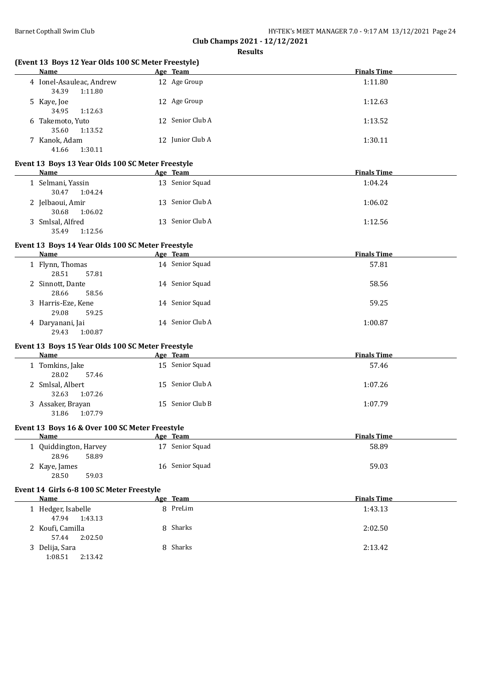| Name                                              | (Event 13 Boys 12 Year Olds 100 SC Meter Freestyle)<br>Age Team | <b>Finals Time</b> |
|---------------------------------------------------|-----------------------------------------------------------------|--------------------|
| 4 Ionel-Asauleac, Andrew<br>34.39<br>1:11.80      | 12 Age Group                                                    | 1:11.80            |
| 5 Kaye, Joe<br>34.95<br>1:12.63                   | 12 Age Group                                                    | 1:12.63            |
| 6 Takemoto, Yuto<br>35.60<br>1:13.52              | 12 Senior Club A                                                | 1:13.52            |
| 7 Kanok, Adam<br>41.66<br>1:30.11                 | 12 Junior Club A                                                | 1:30.11            |
| Event 13 Boys 13 Year Olds 100 SC Meter Freestyle |                                                                 |                    |
| <b>Name</b>                                       | Age Team                                                        | <b>Finals Time</b> |
| 1 Selmani, Yassin<br>30.47<br>1:04.24             | 13 Senior Squad                                                 | 1:04.24            |
| 2 Jelbaoui, Amir<br>30.68<br>1:06.02              | 13 Senior Club A                                                | 1:06.02            |
| 3 Smlsal, Alfred<br>35.49<br>1:12.56              | 13 Senior Club A                                                | 1:12.56            |
| Event 13 Boys 14 Year Olds 100 SC Meter Freestyle |                                                                 |                    |
| Name                                              | Age Team                                                        | <b>Finals Time</b> |
| 1 Flynn, Thomas<br>28.51<br>57.81                 | 14 Senior Squad                                                 | 57.81              |
| 2 Sinnott, Dante<br>28.66<br>58.56                | 14 Senior Squad                                                 | 58.56              |
| 3 Harris-Eze, Kene<br>29.08<br>59.25              | 14 Senior Squad                                                 | 59.25              |
| 4 Daryanani, Jai<br>29.43<br>1:00.87              | 14 Senior Club A                                                | 1:00.87            |
| Event 13 Boys 15 Year Olds 100 SC Meter Freestyle |                                                                 |                    |
| Name                                              | Age Team                                                        | <b>Finals Time</b> |
| 1 Tomkins, Jake<br>28.02<br>57.46                 | 15 Senior Squad                                                 | 57.46              |
| 2 Smlsal, Albert<br>32.63<br>1:07.26              | 15 Senior Club A                                                | 1:07.26            |
| 3 Assaker, Brayan                                 | 15 Senior Club B                                                | 1:07.79            |
| 31.86<br>1:07.79                                  |                                                                 |                    |
| Event 13 Boys 16 & Over 100 SC Meter Freestyle    |                                                                 |                    |
| <b>Name</b>                                       | Age Team                                                        | <b>Finals Time</b> |
| 1 Quiddington, Harvey<br>28.96<br>58.89           | 17 Senior Squad                                                 | 58.89              |
| 2 Kaye, James<br>28.50<br>59.03                   | 16 Senior Squad                                                 | 59.03              |
| Event 14 Girls 6-8 100 SC Meter Freestyle         |                                                                 |                    |
| Name                                              | Age Team                                                        | <b>Finals Time</b> |
| 1 Hedger, Isabelle<br>47.94<br>1:43.13            | 8 PreLim                                                        | 1:43.13            |
| 2 Koufi, Camilla<br>57.44<br>2:02.50              | 8 Sharks                                                        | 2:02.50            |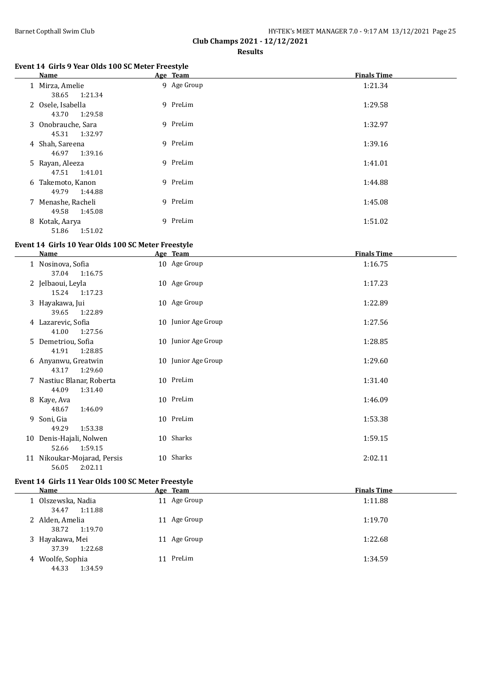$\mathbf{r}$ 

|                               | HY-TEK's MEET MANAGER 7.0 - 9:17 AM 13/12/2021 Page 25 |  |
|-------------------------------|--------------------------------------------------------|--|
| Club Champs 2021 - 12/12/2021 |                                                        |  |

**Results**

#### **Event 14 Girls 9 Year Olds 100 SC Meter Freestyle**

| Name                                   | Age Team    | <b>Finals Time</b> |
|----------------------------------------|-------------|--------------------|
| 1 Mirza, Amelie<br>38.65 1:21.34       | 9 Age Group | 1:21.34            |
| 2 Osele, Isabella<br>43.70<br>1:29.58  | 9 PreLim    | 1:29.58            |
| 3 Onobrauche, Sara<br>45.31 1:32.97    | 9 PreLim    | 1:32.97            |
| 4 Shah, Sareena<br>46.97<br>1:39.16    | 9 PreLim    | 1:39.16            |
| 5 Rayan, Aleeza<br>47.51 1:41.01       | 9 PreLim    | 1:41.01            |
| 6 Takemoto, Kanon<br>49.79 1:44.88     | 9 PreLim    | 1:44.88            |
| 7 Menashe, Racheli<br>49.58<br>1:45.08 | 9 PreLim    | 1:45.08            |
| 8 Kotak, Aarya<br>1:51.02<br>51.86     | 9 PreLim    | 1:51.02            |

#### **Event 14 Girls 10 Year Olds 100 SC Meter Freestyle**

| Name                                                                | Age Team            | <b>Finals Time</b> |
|---------------------------------------------------------------------|---------------------|--------------------|
| 1 Nosinova, Sofia<br>37.04<br>1:16.75                               | 10 Age Group        | 1:16.75            |
| 2 Jelbaoui, Leyla<br>15.24<br>1:17.23                               | 10 Age Group        | 1:17.23            |
| 3 Hayakawa, Jui<br>39.65<br>1:22.89                                 | 10 Age Group        | 1:22.89            |
| 4 Lazarevic, Sofia<br>41.00<br>1:27.56                              | 10 Junior Age Group | 1:27.56            |
| 5 Demetriou, Sofia<br>41.91<br>1:28.85                              | 10 Junior Age Group | 1:28.85            |
| 6 Anyanwu, Greatwin<br>43.17<br>1:29.60                             | 10 Junior Age Group | 1:29.60            |
| 7 Nastiuc Blanar, Roberta<br>44.09<br>1:31.40                       | 10 PreLim           | 1:31.40            |
| 8 Kaye, Ava<br>48.67<br>1:46.09                                     | 10 PreLim           | 1:46.09            |
| 9 Soni, Gia<br>49.29<br>1:53.38                                     | 10 PreLim           | 1:53.38            |
| 10 Denis-Hajali, Nolwen                                             | 10 Sharks           | 1:59.15            |
| 1:59.15<br>52.66<br>11 Nikoukar-Mojarad, Persis<br>56.05<br>2:02.11 | 10 Sharks           | 2:02.11            |

## **Event 14 Girls 11 Year Olds 100 SC Meter Freestyle**

| Name                                   | Age Team     | <b>Finals Time</b> |
|----------------------------------------|--------------|--------------------|
| 1 Olszewska, Nadia<br>1:11.88<br>34.47 | 11 Age Group | 1:11.88            |
| 2 Alden, Amelia<br>38.72<br>1:19.70    | 11 Age Group | 1:19.70            |
| 3 Hayakawa, Mei<br>1:22.68<br>37.39    | 11 Age Group | 1:22.68            |
| 4 Woolfe, Sophia<br>44.33<br>1:34.59   | 11 PreLim    | 1:34.59            |